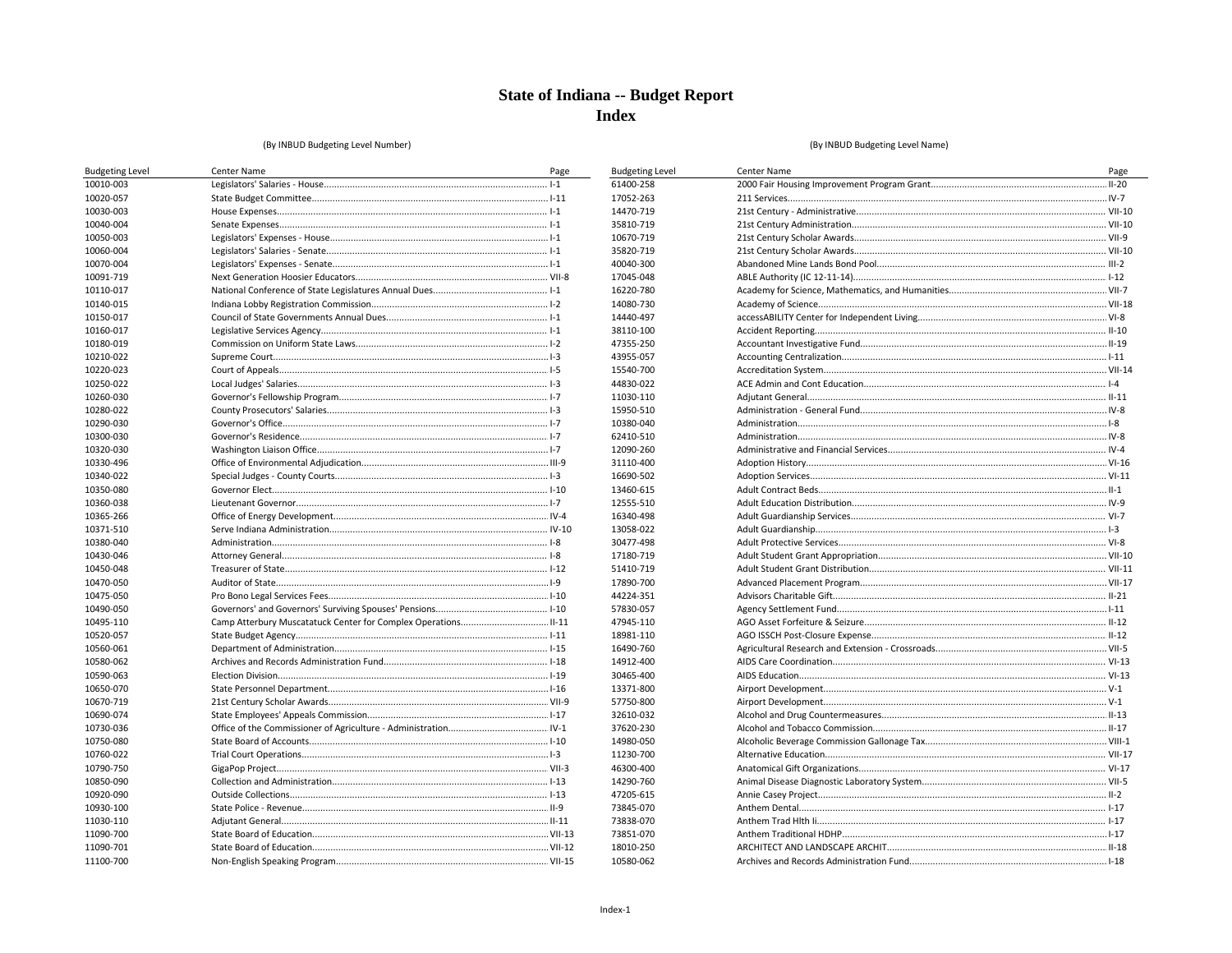### (By INBUD Budgeting Level Number)

| <b>Budgeting Level</b> | <b>Center Name</b> | Page   | <b>Budgeting Level</b> | Center Name  | Page       |
|------------------------|--------------------|--------|------------------------|--------------|------------|
| 10010-003              |                    | $.1-1$ | 61400-258              |              | $ I - 20 $ |
| 10020-057              |                    |        | 17052-263              | 211 Services |            |
| 10030-003              |                    |        | 14470-719              |              |            |
| 10040-004              |                    |        | 35810-719              |              |            |
| 10050-003              |                    |        | 10670-719              |              |            |
| 10060-004              |                    |        | 35820-719              |              |            |
| 10070-004              |                    |        | 40040-300              |              |            |
| 10091-719              |                    |        | 17045-048              |              |            |
| 10110-017              |                    |        | 16220-780              |              |            |
| 10140-015              |                    |        | 14080-730              |              |            |
| 10150-017              |                    |        | 14440-497              |              |            |
| 10160-017              |                    |        | 38110-100              |              |            |
| 10180-019              |                    |        | 47355-250              |              |            |
| 10210-022              |                    |        | 43955-057              |              |            |
| 10220-023              |                    |        | 15540-700              |              |            |
| 10250-022              |                    |        | 44830-022              |              |            |
| 10260-030              |                    |        | 11030-110              |              |            |
| 10280-022              |                    |        | 15950-510              |              |            |
| 10290-030              |                    |        | 10380-040              |              |            |
| 10300-030              |                    |        | 62410-510              |              |            |
| 10320-030              |                    |        | 12090-260              |              |            |
| 10330-496              |                    |        | 31110-400              |              |            |
| 10340-022              |                    |        | 16690-502              |              |            |
| 10350-080              |                    |        | 13460-615              |              |            |
| 10360-038              |                    |        | 12555-510              |              |            |
| 10365-266              |                    |        | 16340-498              |              |            |
| 10371-510              |                    |        | 13058-022              |              |            |
| 10380-040              |                    |        | 30477-498              |              |            |
| 10430-046              |                    |        | 17180-719              |              |            |
| 10450-048              |                    |        | 51410-719              |              |            |
|                        |                    |        |                        |              |            |
| 10470-050              |                    |        | 17890-700<br>44224-351 |              |            |
| 10475-050              |                    |        | 57830-057              |              |            |
| 10490-050              |                    |        |                        |              |            |
| 10495-110              |                    |        | 47945-110              |              |            |
| 10520-057              |                    |        | 18981-110              |              |            |
| 10560-061              |                    |        | 16490-760              |              |            |
| 10580-062              |                    |        | 14912-400              |              |            |
| 10590-063              |                    |        | 30465-400              |              |            |
| 10650-070              |                    |        | 13371-800              |              |            |
| 10670-719              |                    |        | 57750-800              |              |            |
| 10690-074              |                    |        | 32610-032              |              |            |
| 10730-036              |                    |        | 37620-230              |              |            |
| 10750-080              |                    |        | 14980-050              |              |            |
| 10760-022              |                    |        | 11230-700              |              |            |
| 10790-750              |                    |        | 46300-400              |              |            |
| 10850-090              |                    |        | 14290-760              |              |            |
| 10920-090              |                    |        | 47205-615              |              |            |
| 10930-100              |                    |        | 73845-070              |              |            |
| 11030-110              |                    |        | 73838-070              |              |            |
| 11090-700              |                    |        | 73851-070              |              |            |
| 11090-701              |                    |        | 18010-250              |              |            |
| 11100-700              |                    |        | 10580-062              |              |            |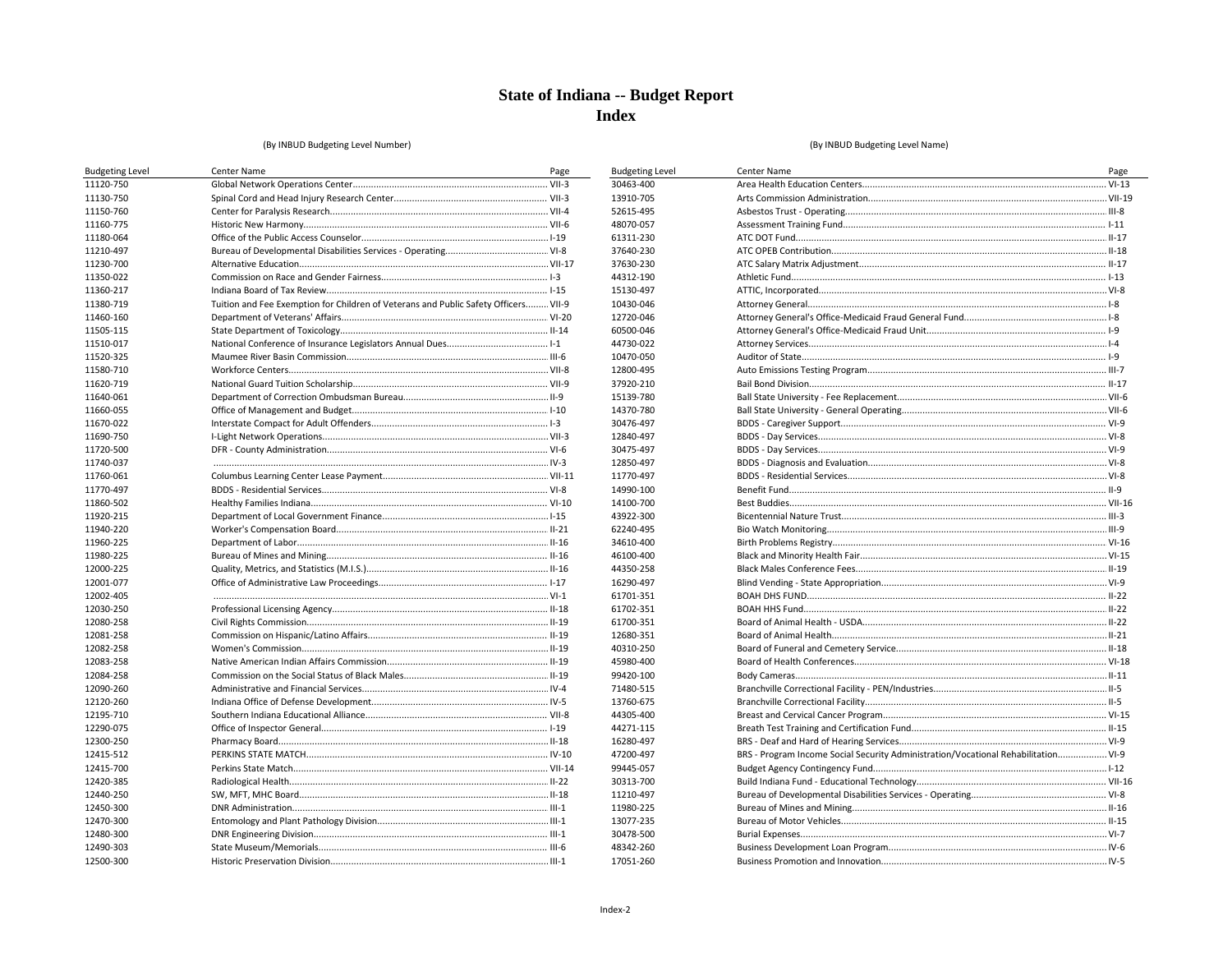**Budgeting Level** 30463-400 13910-705

52615-495 48070-057 61311-230 37640-230 37630-230 44312-190 15130-497 10430-046 12720-046 60500-046 44730-022 10470-050 12800-495 37920-210 15139-780 14370-780 30476-497 12840-497 30475-497 12850-497 11770-497 14990-100 14100-700

43922-300 62240-495 34610-400 46100-400 44350-258 16290-497 61701-351 61702-351 61700-351 12680-351 40310-250 45980-400 99420-100 71480-515 13760-675 44305-400 44271-115 16280-497 47200-497 99445-057 30313-700

#### (By INBUD Budgeting Level Number)

#### (By INBUD Budgeting Level Name)

| <b>Budgeting Level</b> | Center Name                                                                         | Page |
|------------------------|-------------------------------------------------------------------------------------|------|
| 11120-750              |                                                                                     |      |
| 11130-750              |                                                                                     |      |
| 11150-760              |                                                                                     |      |
| 11160-775              |                                                                                     |      |
| 11180-064              |                                                                                     |      |
| 11210-497              |                                                                                     |      |
| 11230-700              |                                                                                     |      |
| 11350-022              |                                                                                     |      |
| 11360-217              |                                                                                     |      |
| 11380-719              | Tuition and Fee Exemption for Children of Veterans and Public Safety Officers VII-9 |      |
| 11460-160              |                                                                                     |      |
| 11505-115              |                                                                                     |      |
| 11510-017              |                                                                                     |      |
| 11520-325              |                                                                                     |      |
| 11580-710              |                                                                                     |      |
| 11620-719              |                                                                                     |      |
| 11640-061              |                                                                                     |      |
| 11660-055              |                                                                                     |      |
| 11670-022              |                                                                                     |      |
| 11690-750              |                                                                                     |      |
| 11720-500              |                                                                                     |      |
| 11740-037              |                                                                                     |      |
| 11760-061              |                                                                                     |      |
| 11770-497              |                                                                                     |      |
| 11860-502              |                                                                                     |      |
| 11920-215              |                                                                                     |      |
| 11940-220              |                                                                                     |      |
| 11960-225              |                                                                                     |      |
| 11980-225              |                                                                                     |      |
| 12000-225              |                                                                                     |      |
| 12001-077              |                                                                                     |      |
| 12002-405              |                                                                                     |      |
| 12030-250              |                                                                                     |      |
| 12080-258              |                                                                                     |      |
| 12081-258              |                                                                                     |      |
| 12082-258              |                                                                                     |      |
| 12083-258              |                                                                                     |      |
| 12084-258              |                                                                                     |      |
| 12090-260              |                                                                                     |      |
| 12120-260              |                                                                                     |      |
| 12195-710              |                                                                                     |      |
| 12290-075              |                                                                                     |      |
| 12300-250              |                                                                                     |      |
| 12415-512              |                                                                                     |      |
| 12415-700              |                                                                                     |      |
| 12420-385              |                                                                                     |      |
| 12440-250              |                                                                                     |      |
| 12450-300              |                                                                                     |      |
| 12470-300              |                                                                                     |      |
| 12480-300              |                                                                                     |      |
| 12490-303              |                                                                                     |      |
| 12500-300              |                                                                                     |      |

| <b>Center Name</b>                                                                 | Page |
|------------------------------------------------------------------------------------|------|
|                                                                                    |      |
|                                                                                    |      |
|                                                                                    |      |
|                                                                                    |      |
|                                                                                    |      |
|                                                                                    |      |
|                                                                                    |      |
|                                                                                    |      |
|                                                                                    |      |
|                                                                                    |      |
|                                                                                    |      |
|                                                                                    |      |
|                                                                                    |      |
|                                                                                    |      |
|                                                                                    |      |
|                                                                                    |      |
|                                                                                    |      |
|                                                                                    |      |
|                                                                                    |      |
|                                                                                    |      |
|                                                                                    |      |
|                                                                                    |      |
|                                                                                    |      |
|                                                                                    |      |
|                                                                                    |      |
|                                                                                    |      |
|                                                                                    |      |
|                                                                                    |      |
|                                                                                    |      |
|                                                                                    |      |
|                                                                                    |      |
|                                                                                    |      |
|                                                                                    |      |
|                                                                                    |      |
|                                                                                    |      |
|                                                                                    |      |
|                                                                                    |      |
|                                                                                    |      |
|                                                                                    |      |
|                                                                                    |      |
|                                                                                    |      |
|                                                                                    |      |
|                                                                                    |      |
| BRS - Program Income Social Security Administration/Vocational Rehabilitation VI-9 |      |
|                                                                                    |      |
|                                                                                    |      |
|                                                                                    |      |
|                                                                                    |      |
|                                                                                    |      |
|                                                                                    |      |
|                                                                                    |      |
|                                                                                    |      |

11210-497 11980-225 13077-235 30478-500 48342-260 17051-260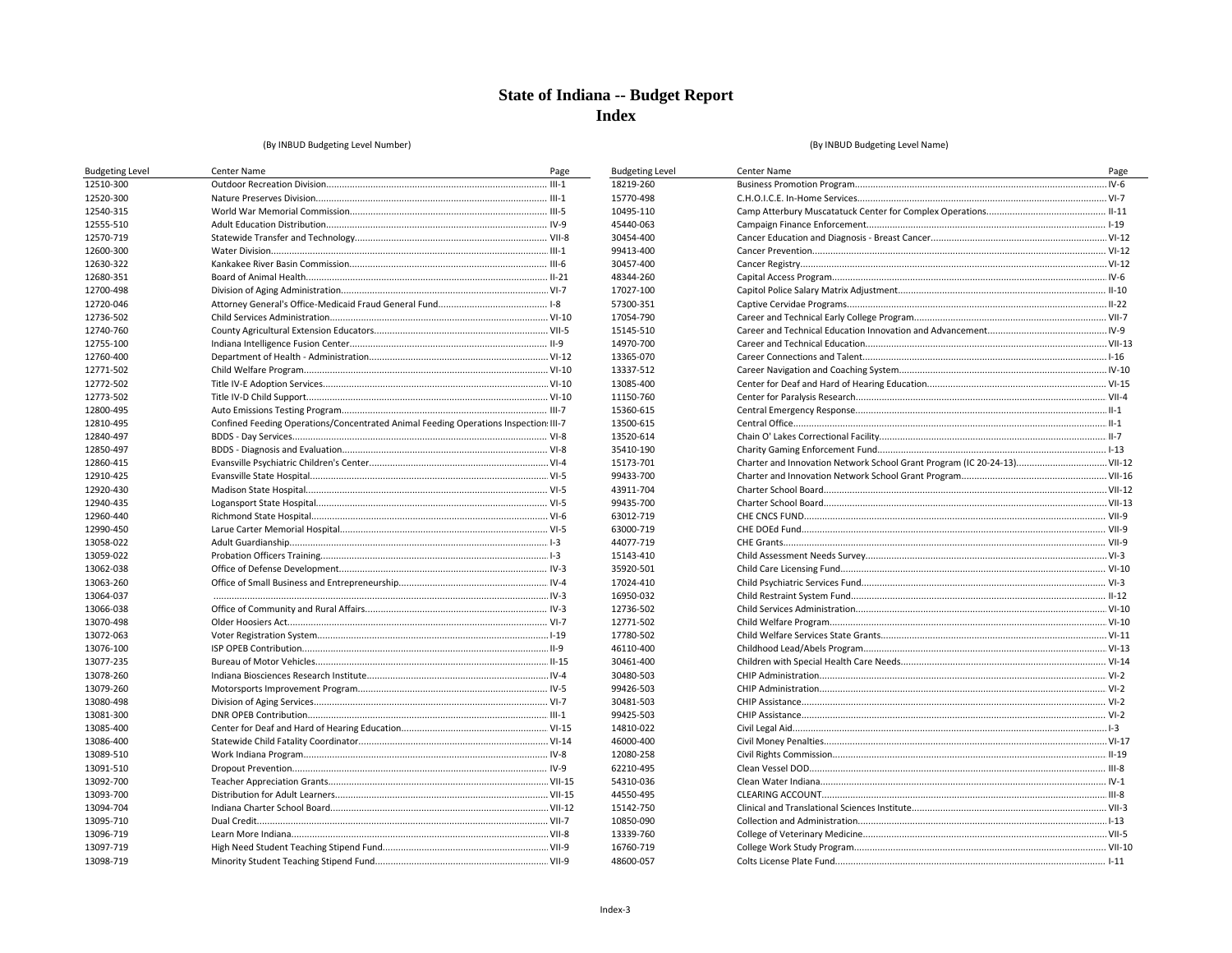**Budgeting Level** 18219-260 15770-498 10495-110 45440-063 30454-400 99413-400 30457-400 48344-260 17027-100 57300-351 17054-790 15145-510 14970-700

13365-070 13337-512

13085-400 11150-760 15360-615 13500-615 13520-614 35410-190 15173-701

99433-700

43911-704

99435-700

63012-719 63000-719 44077-719 15143-410 35920-501

17024-410 16950-032 12736-502

12771-502

17780-502 46110-400 30461-400 30480-503 99426-503 30481-503 99425-503 14810-022 46000-400 12080-258 62210-495 54310-036 44550-495 15142-750 10850-090 13339-760 16760-719

#### (By INBUD Budgeting Level Number)

#### (By INBUD Budgeting Level Name)

| <b>Budgeting Level</b> | Center Name                                                                          | Page |
|------------------------|--------------------------------------------------------------------------------------|------|
| 12510-300              |                                                                                      |      |
| 12520-300              |                                                                                      |      |
| 12540-315              |                                                                                      |      |
| 12555-510              |                                                                                      |      |
| 12570-719              |                                                                                      |      |
| 12600-300              |                                                                                      |      |
| 12630-322              |                                                                                      |      |
| 12680-351              |                                                                                      |      |
| 12700-498              |                                                                                      |      |
| 12720-046              |                                                                                      |      |
| 12736-502              |                                                                                      |      |
| 12740-760              |                                                                                      |      |
| 12755-100              |                                                                                      |      |
| 12760-400              |                                                                                      |      |
| 12771-502              |                                                                                      |      |
| 12772-502              |                                                                                      |      |
| 12773-502              |                                                                                      |      |
| 12800-495              |                                                                                      |      |
| 12810-495              | Confined Feeding Operations/Concentrated Animal Feeding Operations Inspection: III-7 |      |
| 12840-497              |                                                                                      |      |
| 12850-497              |                                                                                      |      |
| 12860-415              |                                                                                      |      |
| 12910-425              |                                                                                      |      |
| 12920-430              |                                                                                      |      |
| 12940-435              |                                                                                      |      |
| 12960-440              |                                                                                      |      |
| 12990-450              |                                                                                      |      |
| 13058-022              |                                                                                      |      |
| 13059-022              |                                                                                      |      |
| 13062-038              |                                                                                      |      |
| 13063-260              |                                                                                      |      |
| 13064-037              |                                                                                      |      |
| 13066-038              |                                                                                      |      |
| 13070-498              |                                                                                      |      |
| 13072-063              |                                                                                      |      |
| 13076-100              |                                                                                      |      |
| 13077-235              |                                                                                      |      |
| 13078-260              |                                                                                      |      |
| 13079-260              |                                                                                      |      |
| 13080-498              |                                                                                      |      |
| 13081-300              |                                                                                      |      |
| 13085-400              |                                                                                      |      |
| 13086-400              |                                                                                      |      |
| 13089-510              |                                                                                      |      |
| 13091-510              |                                                                                      |      |
| 13092-700              |                                                                                      |      |
| 13093-700              |                                                                                      |      |
| 13094-704              |                                                                                      |      |
| 13095-710              |                                                                                      |      |
| 13096-719              |                                                                                      |      |
| 13097-719              |                                                                                      |      |
| 13098-719              |                                                                                      |      |
|                        |                                                                                      |      |

| Center Name                                                              | Page |
|--------------------------------------------------------------------------|------|
|                                                                          |      |
|                                                                          |      |
|                                                                          |      |
|                                                                          |      |
|                                                                          |      |
|                                                                          |      |
|                                                                          |      |
|                                                                          |      |
|                                                                          |      |
|                                                                          |      |
|                                                                          |      |
|                                                                          |      |
|                                                                          |      |
|                                                                          |      |
|                                                                          |      |
|                                                                          |      |
|                                                                          |      |
|                                                                          |      |
|                                                                          |      |
|                                                                          |      |
|                                                                          |      |
| Charter and Innovation Network School Grant Program (IC 20-24-13) VII-12 |      |
|                                                                          |      |
|                                                                          |      |
|                                                                          |      |
|                                                                          |      |
|                                                                          |      |
|                                                                          |      |
|                                                                          |      |
|                                                                          |      |
|                                                                          |      |
|                                                                          |      |
|                                                                          |      |
|                                                                          |      |
|                                                                          |      |
|                                                                          |      |
|                                                                          |      |
|                                                                          |      |
|                                                                          |      |
|                                                                          |      |
|                                                                          |      |
|                                                                          |      |
|                                                                          |      |
|                                                                          |      |
|                                                                          |      |
|                                                                          |      |
|                                                                          |      |
|                                                                          |      |
|                                                                          |      |
|                                                                          |      |
|                                                                          |      |

48600-057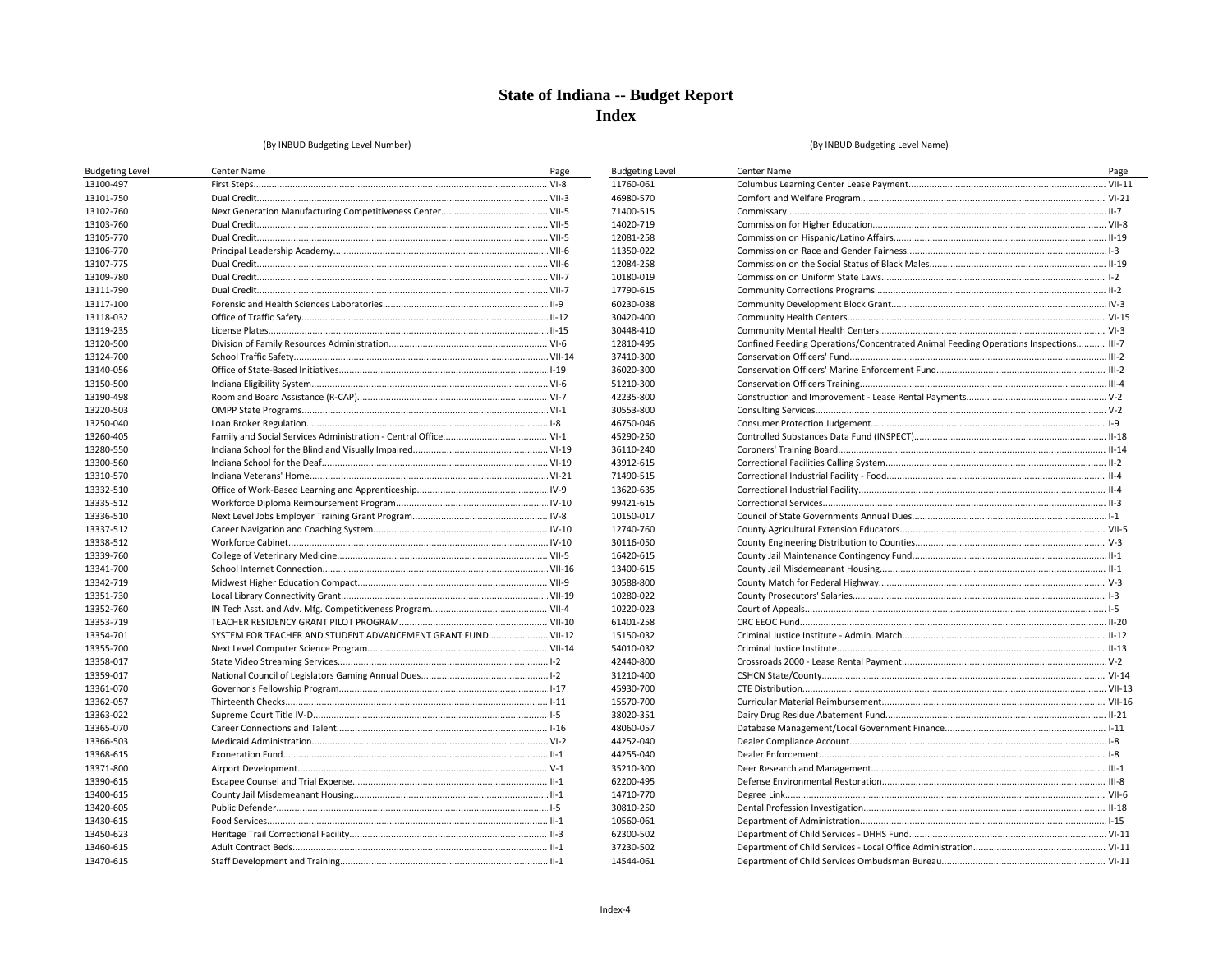**Budgeting Level** 11760-061 46980-570 71400-515 14020-719 12081-258 11350-022 12084-258 10180-019 17790-615 60230-038 30420-400 30448-410 12810-495 37410-300 36020-300 51210-300 42235-800 30553-800 46750-046 45290-250 36110-240 43912-615 71490-515 13620-635 99421-615 10150-017 12740-760 30116-050 16420-615 13400-615 30588-800 10280-022 10220-023 61401-258 15150-032 54010-032 42440-800 31210-400 45930-700

#### (By INBUD Budgeting Level Number)

| 13100-497<br>13101-750<br>13102-760<br>13103-760<br>13105-770<br>13106-770<br>13107-775<br>13109-780<br>13111-790<br>13117-100<br>13118-032<br>13119-235<br>13120-500<br>13124-700<br>13140-056<br>13150-500<br>13190-498<br>13220-503<br>13250-040<br>13260-405 |  |
|------------------------------------------------------------------------------------------------------------------------------------------------------------------------------------------------------------------------------------------------------------------|--|
|                                                                                                                                                                                                                                                                  |  |
|                                                                                                                                                                                                                                                                  |  |
|                                                                                                                                                                                                                                                                  |  |
|                                                                                                                                                                                                                                                                  |  |
|                                                                                                                                                                                                                                                                  |  |
|                                                                                                                                                                                                                                                                  |  |
|                                                                                                                                                                                                                                                                  |  |
|                                                                                                                                                                                                                                                                  |  |
|                                                                                                                                                                                                                                                                  |  |
|                                                                                                                                                                                                                                                                  |  |
|                                                                                                                                                                                                                                                                  |  |
|                                                                                                                                                                                                                                                                  |  |
|                                                                                                                                                                                                                                                                  |  |
|                                                                                                                                                                                                                                                                  |  |
|                                                                                                                                                                                                                                                                  |  |
|                                                                                                                                                                                                                                                                  |  |
|                                                                                                                                                                                                                                                                  |  |
|                                                                                                                                                                                                                                                                  |  |
|                                                                                                                                                                                                                                                                  |  |
|                                                                                                                                                                                                                                                                  |  |
| 13280-550                                                                                                                                                                                                                                                        |  |
| 13300-560                                                                                                                                                                                                                                                        |  |
| 13310-570                                                                                                                                                                                                                                                        |  |
| 13332-510                                                                                                                                                                                                                                                        |  |
| 13335-512                                                                                                                                                                                                                                                        |  |
| 13336-510                                                                                                                                                                                                                                                        |  |
| 13337-512                                                                                                                                                                                                                                                        |  |
| 13338-512                                                                                                                                                                                                                                                        |  |
| 13339-760                                                                                                                                                                                                                                                        |  |
| 13341-700                                                                                                                                                                                                                                                        |  |
| 13342-719                                                                                                                                                                                                                                                        |  |
| 13351-730                                                                                                                                                                                                                                                        |  |
| 13352-760                                                                                                                                                                                                                                                        |  |
| 13353-719                                                                                                                                                                                                                                                        |  |
| SYSTEM FOR TEACHER AND STUDENT ADVANCEMENT GRANT FUND VII-12<br>13354-701                                                                                                                                                                                        |  |
| 13355-700                                                                                                                                                                                                                                                        |  |
| 13358-017                                                                                                                                                                                                                                                        |  |
| 13359-017                                                                                                                                                                                                                                                        |  |
| 13361-070                                                                                                                                                                                                                                                        |  |
| 13362-057                                                                                                                                                                                                                                                        |  |
| 13363-022                                                                                                                                                                                                                                                        |  |
| 13365-070                                                                                                                                                                                                                                                        |  |
| 13366-503                                                                                                                                                                                                                                                        |  |
| 13368-615                                                                                                                                                                                                                                                        |  |
| 13371-800                                                                                                                                                                                                                                                        |  |
| 13390-615                                                                                                                                                                                                                                                        |  |
| 13400-615                                                                                                                                                                                                                                                        |  |
| 13420-605                                                                                                                                                                                                                                                        |  |
| 13430-615                                                                                                                                                                                                                                                        |  |
| 13450-623                                                                                                                                                                                                                                                        |  |
| 13460-615                                                                                                                                                                                                                                                        |  |
| 13470-615                                                                                                                                                                                                                                                        |  |

| Center Name                                                                          | Page |
|--------------------------------------------------------------------------------------|------|
|                                                                                      |      |
|                                                                                      |      |
|                                                                                      |      |
|                                                                                      |      |
|                                                                                      |      |
|                                                                                      |      |
|                                                                                      |      |
|                                                                                      |      |
|                                                                                      |      |
|                                                                                      |      |
|                                                                                      |      |
|                                                                                      |      |
| Confined Feeding Operations/Concentrated Animal Feeding Operations Inspections III-7 |      |
|                                                                                      |      |
|                                                                                      |      |
|                                                                                      |      |
|                                                                                      |      |
|                                                                                      |      |
|                                                                                      |      |
|                                                                                      |      |
|                                                                                      |      |
|                                                                                      |      |
|                                                                                      |      |
|                                                                                      |      |
|                                                                                      |      |
|                                                                                      |      |
|                                                                                      |      |
|                                                                                      |      |
|                                                                                      |      |
|                                                                                      |      |
|                                                                                      |      |
|                                                                                      |      |
|                                                                                      |      |
|                                                                                      |      |
|                                                                                      |      |
|                                                                                      |      |
|                                                                                      |      |
|                                                                                      |      |
|                                                                                      |      |
|                                                                                      |      |
|                                                                                      |      |
|                                                                                      |      |
|                                                                                      |      |
|                                                                                      |      |
|                                                                                      |      |
|                                                                                      |      |
|                                                                                      |      |
|                                                                                      |      |
|                                                                                      |      |
|                                                                                      |      |
|                                                                                      |      |
|                                                                                      |      |

(By INBUD Budgeting Level Name)

15570-700

38020-351 48060-057 44252-040 44255-040 35210-300 62200-495 14710-770 30810-250 10560-061 62300-502 37230-502 14544-061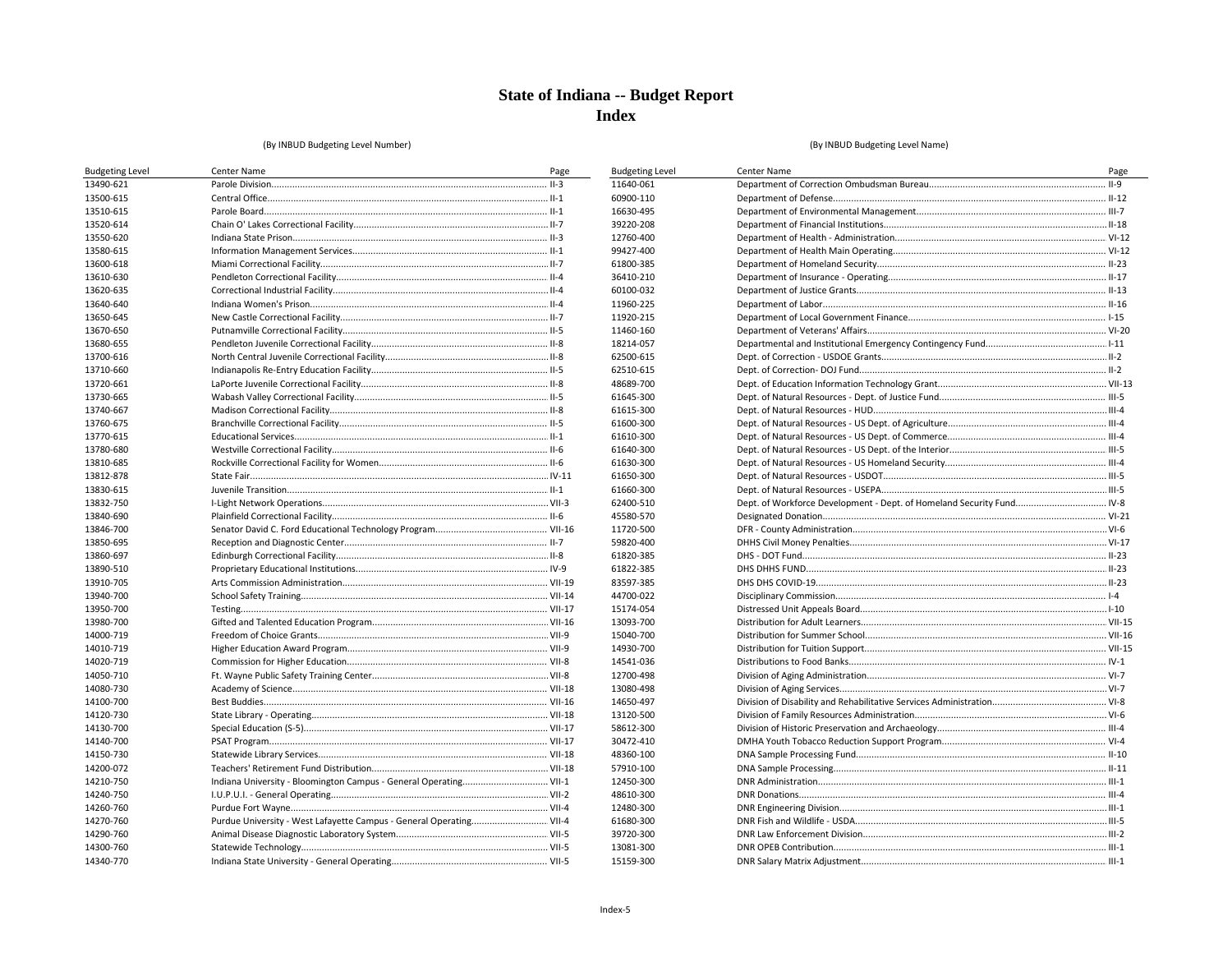**Budgeting Level** 11640-061 60900-110 16630-495 39220-208 12760-400

99427-400

61800-385 36410-210 60100-032 11960-225 11920-215 11460-160

18214-057 62500-615 62510-615 48689-700

61645-300 61615-300 61600-300 61610-300 61640-300 61630-300 61650-300 61660-300 62400-510 45580-570

11720-500 59820-400

61820-385 61822-385 83597-385 44700-022 15174-054 13093-700

15040-700

14930-700

14541-036 12700-498 13080-498 14650-497 13120-500 58612-300 30472-410 48360-100 57910-100 12450-300 48610-300 12480-300 61680-300 39720-300 13081-300 15159-300

#### (By INBUD Budgeting Level Number)

| <b>Budgeting Level</b> | Center Name                                                         | Page |
|------------------------|---------------------------------------------------------------------|------|
| 13490-621              |                                                                     |      |
| 13500-615              |                                                                     |      |
| 13510-615              |                                                                     |      |
| 13520-614              |                                                                     |      |
| 13550-620              |                                                                     |      |
| 13580-615              |                                                                     |      |
| 13600-618              |                                                                     |      |
| 13610-630              |                                                                     |      |
| 13620-635              |                                                                     |      |
| 13640-640              |                                                                     |      |
| 13650-645              |                                                                     |      |
| 13670-650              |                                                                     |      |
| 13680-655              |                                                                     |      |
| 13700-616              |                                                                     |      |
| 13710-660              |                                                                     |      |
| 13720-661              |                                                                     |      |
| 13730-665              |                                                                     |      |
| 13740-667              |                                                                     |      |
| 13760-675              |                                                                     |      |
| 13770-615              |                                                                     |      |
| 13780-680              |                                                                     |      |
| 13810-685              |                                                                     |      |
| 13812-878              |                                                                     |      |
| 13830-615              |                                                                     |      |
| 13832-750              |                                                                     |      |
| 13840-690              |                                                                     |      |
| 13846-700              |                                                                     |      |
| 13850-695              |                                                                     |      |
| 13860-697              |                                                                     |      |
| 13890-510              |                                                                     |      |
| 13910-705              |                                                                     |      |
| 13940-700              |                                                                     |      |
| 13950-700              |                                                                     |      |
| 13980-700              |                                                                     |      |
| 14000-719              |                                                                     |      |
| 14010-719              |                                                                     |      |
| 14020-719              |                                                                     |      |
| 14050-710              |                                                                     |      |
| 14080-730              |                                                                     |      |
| 14100-700              |                                                                     |      |
| 14120-730              |                                                                     |      |
| 14130-700              |                                                                     |      |
| 14140-700              |                                                                     |      |
| 14150-730              |                                                                     |      |
| 14200-072              |                                                                     |      |
| 14210-750              | Indiana University - Bloomington Campus - General Operating VII-1   |      |
| 14240-750              |                                                                     |      |
| 14260-760              |                                                                     |      |
| 14270-760              | Purdue University - West Lafayette Campus - General Operating VII-4 |      |
| 14290-760              |                                                                     |      |
| 14300-760              |                                                                     |      |
| 14340-770              |                                                                     |      |
|                        |                                                                     |      |

| <b>Center Name</b>                                                    | Page |
|-----------------------------------------------------------------------|------|
|                                                                       |      |
|                                                                       |      |
|                                                                       |      |
|                                                                       |      |
|                                                                       |      |
|                                                                       |      |
|                                                                       |      |
|                                                                       |      |
|                                                                       |      |
|                                                                       |      |
|                                                                       |      |
|                                                                       |      |
|                                                                       |      |
|                                                                       |      |
|                                                                       |      |
|                                                                       |      |
|                                                                       |      |
|                                                                       |      |
|                                                                       |      |
|                                                                       |      |
|                                                                       |      |
|                                                                       |      |
|                                                                       |      |
|                                                                       |      |
| Dept. of Workforce Development - Dept. of Homeland Security Fund IV-8 |      |
|                                                                       |      |
|                                                                       |      |
|                                                                       |      |
|                                                                       |      |
|                                                                       |      |
|                                                                       |      |
|                                                                       |      |
|                                                                       |      |
|                                                                       |      |
|                                                                       |      |
|                                                                       |      |
|                                                                       |      |
|                                                                       |      |
|                                                                       |      |
|                                                                       |      |
|                                                                       |      |
|                                                                       |      |
|                                                                       |      |
|                                                                       |      |
|                                                                       |      |
|                                                                       |      |
|                                                                       |      |
|                                                                       |      |
|                                                                       |      |
|                                                                       |      |
|                                                                       |      |
|                                                                       |      |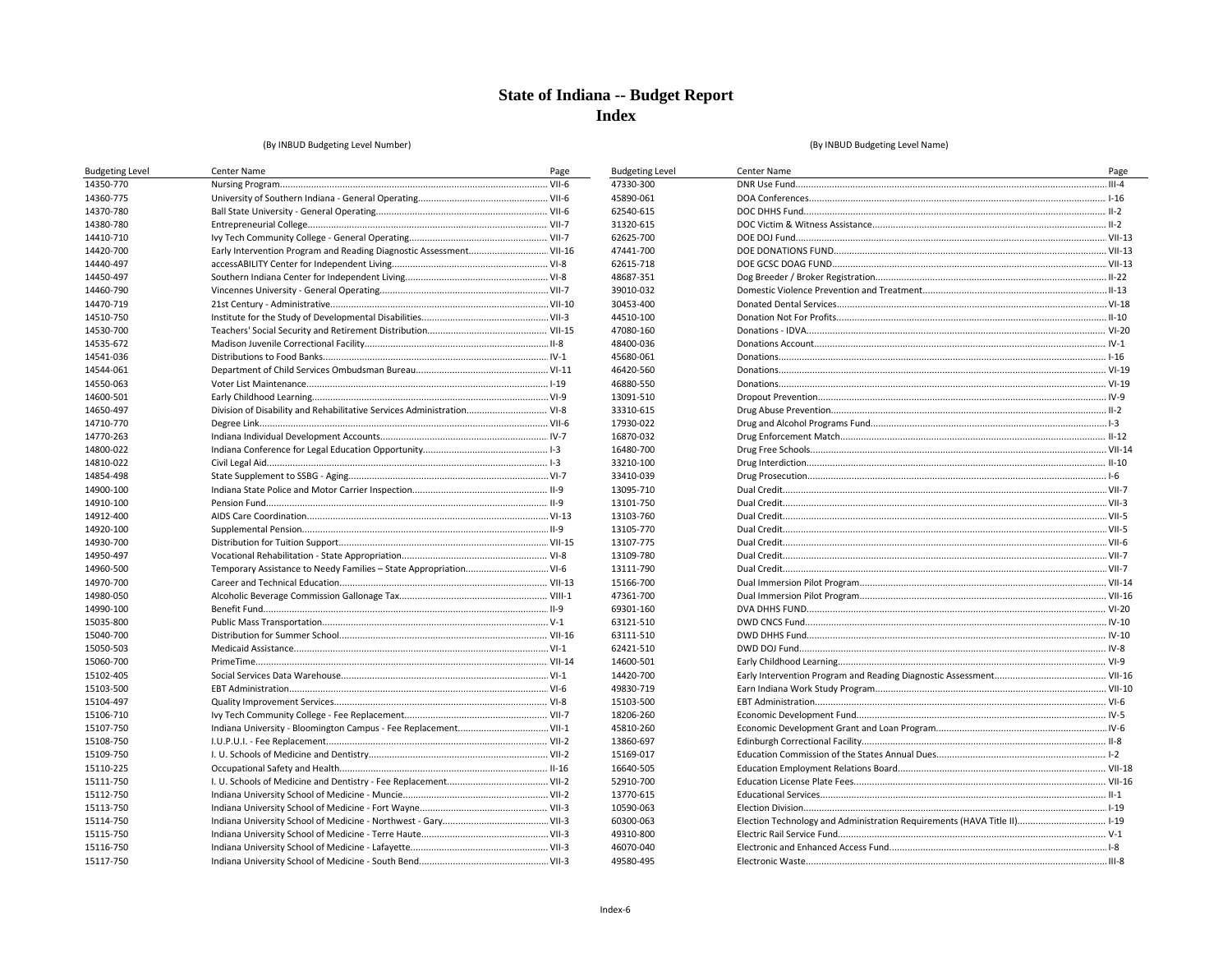**Budgeting Level** 47330-300 45890-061 62540-615 31320-615 62625-700

47441-700

62615-718

48687-351 39010-032 30453-400 44510-100 47080-160 48400-036 45680-061 46420-560 46880-550 13091-510 33310-615 17930-022 16870-032 16480-700

33210-100 33410-039 13095-710 13101-750 13103-760 13105-770 13107-775 13109-780 13111-790 15166-700

47361-700

69301-160 63121-510 63111-510 62421-510 14600-501 14420-700

49830-719

15103-500 18206-260 45810-260 13860-697 15169-017 16640-505

52910-700

13770-615 10590-063 60300-063 49310-800 46070-040 49580-495

#### (By INBUD Budgeting Level Number)

| <b>Budgeting Level</b> | Center Name                                                            | Page |
|------------------------|------------------------------------------------------------------------|------|
| 14350-770              |                                                                        |      |
| 14360-775              |                                                                        |      |
| 14370-780              |                                                                        |      |
| 14380-780              |                                                                        |      |
| 14410-710              |                                                                        |      |
| 14420-700              |                                                                        |      |
| 14440-497              |                                                                        |      |
| 14450-497              |                                                                        |      |
| 14460-790              |                                                                        |      |
| 14470-719              |                                                                        |      |
| 14510-750              |                                                                        |      |
| 14530-700              |                                                                        |      |
| 14535-672              |                                                                        |      |
| 14541-036              |                                                                        |      |
| 14544-061              |                                                                        |      |
| 14550-063              |                                                                        |      |
| 14600-501              |                                                                        |      |
| 14650-497              | Division of Disability and Rehabilitative Services Administration VI-8 |      |
| 14710-770              |                                                                        |      |
| 14770-263              |                                                                        |      |
| 14800-022              |                                                                        |      |
| 14810-022              |                                                                        |      |
| 14854-498              |                                                                        |      |
| 14900-100              |                                                                        |      |
| 14910-100              |                                                                        |      |
| 14912-400              |                                                                        |      |
| 14920-100              |                                                                        |      |
| 14930-700              |                                                                        |      |
| 14950-497              |                                                                        |      |
| 14960-500              | Temporary Assistance to Needy Families - State Appropriation VI-6      |      |
| 14970-700              |                                                                        |      |
| 14980-050              |                                                                        |      |
| 14990-100              |                                                                        |      |
| 15035-800              |                                                                        |      |
| 15040-700              |                                                                        |      |
| 15050-503              |                                                                        |      |
| 15060-700              |                                                                        |      |
| 15102-405              |                                                                        |      |
| 15103-500              |                                                                        |      |
| 15104-497              |                                                                        |      |
| 15106-710              |                                                                        |      |
| 15107-750              |                                                                        |      |
| 15108-750              |                                                                        |      |
| 15109-750              |                                                                        |      |
| 15110-225              |                                                                        |      |
| 15111-750              |                                                                        |      |
| 15112-750              |                                                                        |      |
| 15113-750              |                                                                        |      |
| 15114-750              |                                                                        |      |
| 15115-750              |                                                                        |      |
| 15116-750              |                                                                        |      |
| 15117-750              |                                                                        |      |

| Center Name                                                              |      |
|--------------------------------------------------------------------------|------|
|                                                                          | Page |
|                                                                          |      |
|                                                                          |      |
|                                                                          |      |
|                                                                          |      |
|                                                                          |      |
|                                                                          |      |
|                                                                          |      |
|                                                                          |      |
|                                                                          |      |
|                                                                          |      |
|                                                                          |      |
|                                                                          |      |
|                                                                          |      |
|                                                                          |      |
|                                                                          |      |
|                                                                          |      |
|                                                                          |      |
|                                                                          |      |
|                                                                          |      |
|                                                                          |      |
|                                                                          |      |
|                                                                          |      |
|                                                                          |      |
|                                                                          |      |
|                                                                          |      |
|                                                                          |      |
|                                                                          |      |
|                                                                          |      |
|                                                                          |      |
|                                                                          |      |
|                                                                          |      |
|                                                                          |      |
|                                                                          |      |
|                                                                          |      |
|                                                                          |      |
|                                                                          |      |
|                                                                          |      |
|                                                                          |      |
|                                                                          |      |
|                                                                          |      |
|                                                                          |      |
|                                                                          |      |
|                                                                          |      |
|                                                                          |      |
|                                                                          |      |
|                                                                          |      |
|                                                                          |      |
|                                                                          |      |
| Election Technology and Administration Requirements (HAVA Title II) I-19 |      |
|                                                                          |      |
|                                                                          |      |
|                                                                          |      |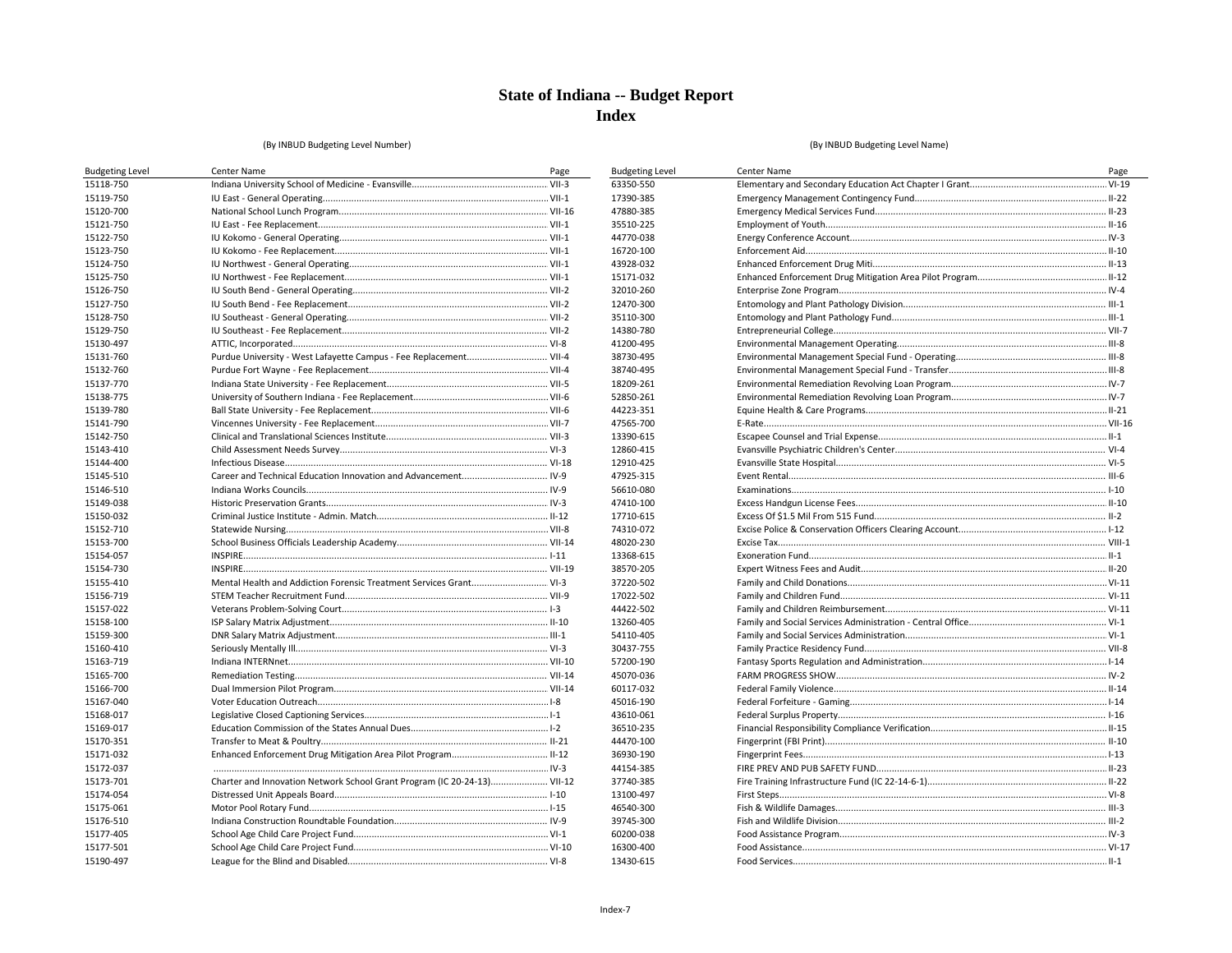**Budgeting Level** 63350-550 17390-385 47880-385 35510-225 44770-038 16720-100 43928-032 15171-032 32010-260 12470-300 35110-300 14380-780 41200-495 38730-495 38740-495 18209-261 52850-261 44223-351 47565-700

13390-615 12860-415 12910-425 47925-315 56610-080 47410-100 17710-615 74310-072 48020-230 13368-615 38570-205 37220-502 17022-502 44422-502 13260-405 54110-405 30437-755 57200-190 45070-036 60117-032 45016-190 43610-061 36510-235 44470-100 36930-190 44154-385 37740-385 13100-497 46540-300 39745-300 60200-038 16300-400 13430-615

#### (By INBUD Budgeting Level Number)

| <b>Budgeting Level</b> | Center Name                                                              | Page |
|------------------------|--------------------------------------------------------------------------|------|
| 15118-750              |                                                                          |      |
| 15119-750              |                                                                          |      |
| 15120-700              |                                                                          |      |
| 15121-750              |                                                                          |      |
| 15122-750              |                                                                          |      |
| 15123-750              |                                                                          |      |
| 15124-750              |                                                                          |      |
| 15125-750              |                                                                          |      |
| 15126-750              |                                                                          |      |
| 15127-750              |                                                                          |      |
| 15128-750              |                                                                          |      |
| 15129-750              |                                                                          |      |
| 15130-497              |                                                                          |      |
| 15131-760              | Purdue University - West Lafayette Campus - Fee Replacement VII-4        |      |
| 15132-760              |                                                                          |      |
| 15137-770              |                                                                          |      |
| 15138-775              |                                                                          |      |
| 15139-780              |                                                                          |      |
| 15141-790              |                                                                          |      |
| 15142-750              |                                                                          |      |
| 15143-410              |                                                                          |      |
| 15144-400              |                                                                          |      |
| 15145-510              |                                                                          |      |
| 15146-510              |                                                                          |      |
| 15149-038              |                                                                          |      |
| 15150-032              |                                                                          |      |
| 15152-710              |                                                                          |      |
| 15153-700              |                                                                          |      |
| 15154-057              |                                                                          |      |
| 15154-730              |                                                                          |      |
| 15155-410              | Mental Health and Addiction Forensic Treatment Services Grant VI-3       |      |
| 15156-719              |                                                                          |      |
| 15157-022              |                                                                          |      |
| 15158-100              |                                                                          |      |
| 15159-300              |                                                                          |      |
| 15160-410              |                                                                          |      |
| 15163-719              |                                                                          |      |
| 15165-700              |                                                                          |      |
| 15166-700              |                                                                          |      |
| 15167-040              |                                                                          |      |
| 15168-017              |                                                                          |      |
| 15169-017              |                                                                          |      |
| 15170-351              |                                                                          |      |
| 15171-032              |                                                                          |      |
| 15172-037              |                                                                          |      |
| 15173-701              | Charter and Innovation Network School Grant Program (IC 20-24-13) VII-12 |      |
| 15174-054              |                                                                          |      |
| 15175-061              |                                                                          |      |
| 15176-510              |                                                                          |      |
| 15177-405              |                                                                          |      |
| 15177-501              |                                                                          |      |
| 15190-497              |                                                                          |      |

| Center Name | Page |
|-------------|------|
|             |      |
|             |      |
|             |      |
|             |      |
|             |      |
|             |      |
|             |      |
|             |      |
|             |      |
|             |      |
|             |      |
|             |      |
|             |      |
|             |      |
|             |      |
|             |      |
|             |      |
|             |      |
|             |      |
|             |      |
|             |      |
|             |      |
|             |      |
|             |      |
|             |      |
|             |      |
|             |      |
|             |      |
|             |      |
|             |      |
|             |      |
|             |      |
|             |      |
|             |      |
|             |      |
|             |      |
|             |      |
|             |      |
|             |      |
|             |      |
|             |      |
|             |      |
|             |      |
|             |      |
|             |      |
|             |      |
|             |      |
|             |      |
|             |      |
|             |      |
|             |      |
|             |      |
|             |      |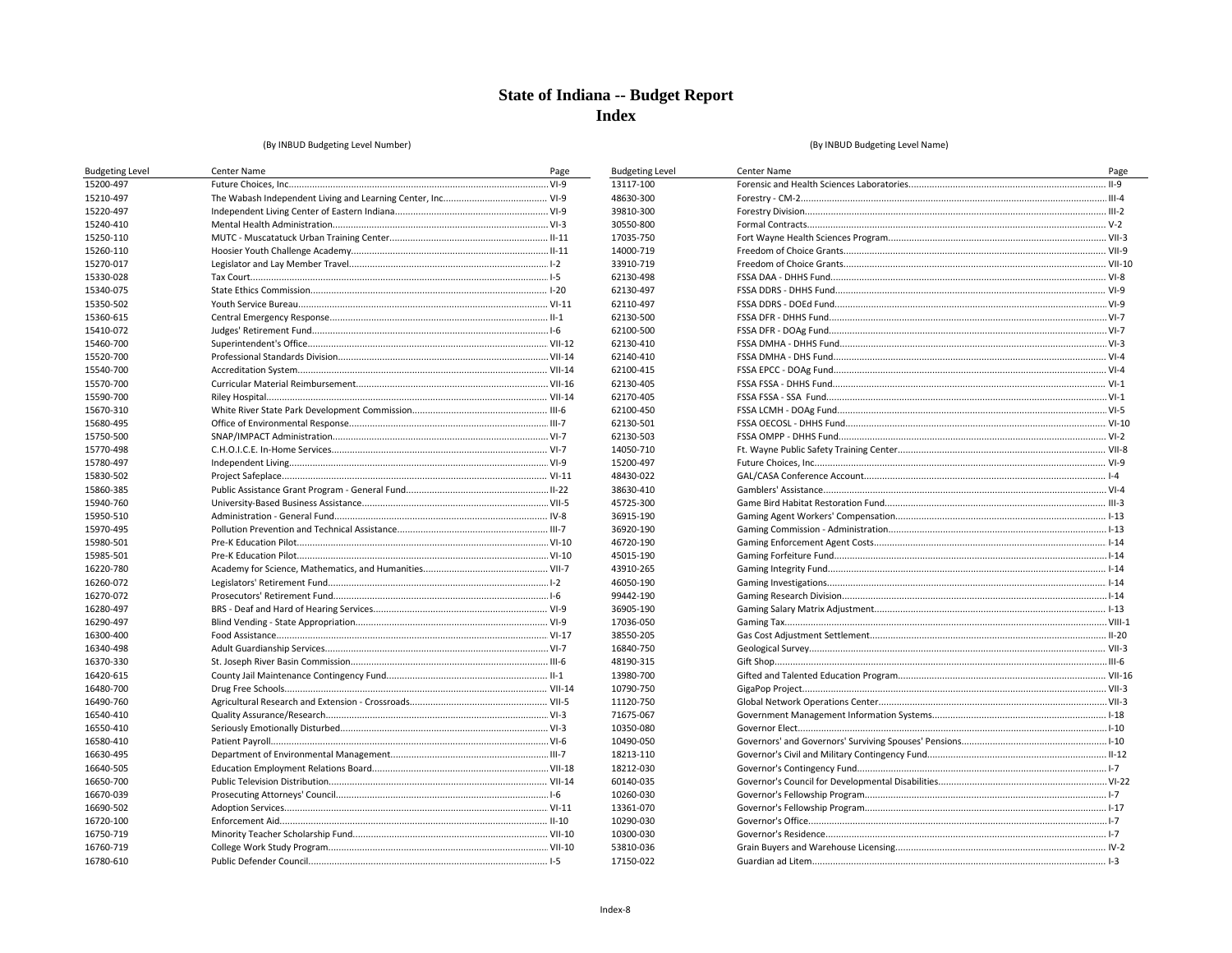**Budgeting Level** 

13117-100 48630-300 39810-300 30550-800 17035-750 14000-719 33910-719

62130-498 62130-497 62110-497 62130-500 62100-500 62130-410 62140-410 62100-415 62130-405 62170-405 62100-450 62130-501

62130-503 14050-710 15200-497 48430-022 38630-410 45725-300 36915-190 36920-190 46720-190 45015-190 43910-265 46050-190 99442-190 36905-190 17036-050

38550-205 16840-750 48190-315 13980-700

10790-750 11120-750 71675-067 10350-080 10490-050 18213-110 18212-030 60140-035

10260-030 13361-070 10290-030 10300-030 53810-036 17150-022

#### (By INBUD Budgeting Level Number)

| <b>Budgeting Level</b> | Center Name | Page |
|------------------------|-------------|------|
| 15200-497              |             |      |
| 15210-497              |             |      |
| 15220-497              |             |      |
| 15240-410              |             |      |
| 15250-110              |             |      |
| 15260-110              |             |      |
| 15270-017              |             |      |
| 15330-028              |             |      |
| 15340-075              |             |      |
| 15350-502              |             |      |
| 15360-615              |             |      |
| 15410-072              |             |      |
| 15460-700              |             |      |
| 15520-700              |             |      |
| 15540-700              |             |      |
| 15570-700              |             |      |
| 15590-700              |             |      |
| 15670-310              |             |      |
| 15680-495              |             |      |
| 15750-500              |             |      |
| 15770-498              |             |      |
| 15780-497              |             |      |
| 15830-502              |             |      |
| 15860-385              |             |      |
| 15940-760              |             |      |
| 15950-510              |             |      |
| 15970-495              |             |      |
| 15980-501              |             |      |
| 15985-501              |             |      |
| 16220-780              |             |      |
| 16260-072              |             |      |
| 16270-072              |             |      |
| 16280-497              |             |      |
| 16290-497              |             |      |
| 16300-400              |             |      |
| 16340-498              |             |      |
| 16370-330              |             |      |
| 16420-615              |             |      |
| 16480-700              |             |      |
| 16490-760              |             |      |
| 16540-410              |             |      |
| 16550-410              |             |      |
| 16580-410              |             |      |
| 16630-495              |             |      |
| 16640-505              |             |      |
| 16650-700              |             |      |
| 16670-039              |             |      |
| 16690-502              |             |      |
| 16720-100              |             |      |
| 16750-719              |             |      |
| 16760-719              |             |      |
| 16780-610              |             |      |
|                        |             |      |

| Center Name | Page |
|-------------|------|
|             |      |
|             |      |
|             |      |
|             |      |
|             |      |
|             |      |
|             |      |
|             |      |
|             |      |
|             |      |
|             |      |
|             |      |
|             |      |
|             |      |
|             |      |
|             |      |
|             |      |
|             |      |
|             |      |
|             |      |
|             |      |
|             |      |
|             |      |
|             |      |
|             |      |
|             |      |
|             |      |
|             |      |
|             |      |
|             |      |
|             |      |
|             |      |
|             |      |
|             |      |
|             |      |
|             |      |
|             |      |
|             |      |
|             |      |
|             |      |
|             |      |
|             |      |
|             |      |
|             |      |
|             |      |
|             |      |
|             |      |
|             |      |
|             |      |
|             |      |
|             |      |
|             |      |
|             |      |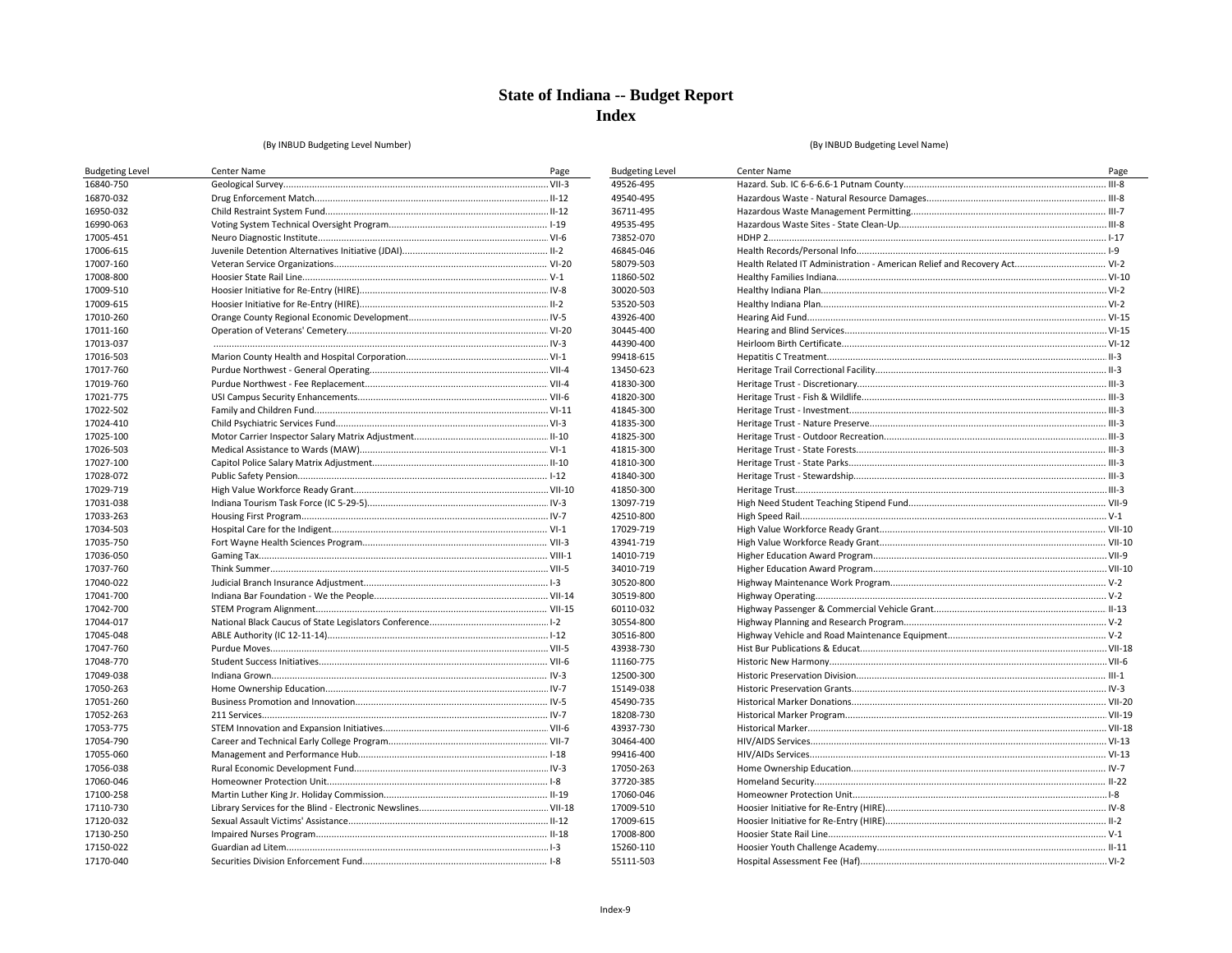**Budgeting Level** 

49526-495 49540-495 36711-495 49535-495 73852-070 46845-046 58079-503 11860-502

30020-503 53520-503 43926-400

30445-400

44390-400

99418-615 13450-623 41830-300 41820-300 41845-300 41835-300 41825-300 41815-300 41810-300 41840-300 41850-300 13097-719

42510-800 17029-719

43941-719

14010-719 34010-719

30520-800 30519-800 60110-032 30554-800 30516-800 43938-730

11160-775

12500-300 15149-038 45490-735

18208-730

43937-730

30464-400

99416-400

17050-263 37720-385 17060-046 17009-510 17009-615 17008-800 15260-110 55111-503

#### (By INBUD Budgeting Level Number)

| <b>Budgeting Level</b> | Center Name | Page |
|------------------------|-------------|------|
| 16840-750              |             |      |
| 16870-032              |             |      |
| 16950-032              |             |      |
| 16990-063              |             |      |
| 17005-451              |             |      |
| 17006-615              |             |      |
| 17007-160              |             |      |
| 17008-800              |             |      |
| 17009-510              |             |      |
| 17009-615              |             |      |
| 17010-260              |             |      |
| 17011-160              |             |      |
| 17013-037              |             |      |
| 17016-503              |             |      |
| 17017-760              |             |      |
| 17019-760              |             |      |
| 17021-775              |             |      |
| 17022-502              |             |      |
| 17024-410              |             |      |
| 17025-100              |             |      |
| 17026-503              |             |      |
| 17027-100              |             |      |
| 17028-072              |             |      |
| 17029-719              |             |      |
| 17031-038              |             |      |
| 17033-263              |             |      |
| 17034-503              |             |      |
| 17035-750              |             |      |
| 17036-050              |             |      |
| 17037-760              |             |      |
| 17040-022              |             |      |
| 17041-700              |             |      |
| 17042-700              |             |      |
| 17044-017              |             |      |
| 17045-048              |             |      |
| 17047-760              |             |      |
| 17048-770              |             |      |
| 17049-038              |             |      |
| 17050-263              |             |      |
| 17051-260              |             |      |
| 17052-263              |             |      |
| 17053-775              |             |      |
| 17054-790              |             |      |
| 17055-060              |             |      |
| 17056-038              |             |      |
| 17060-046              |             |      |
| 17100-258              |             |      |
| 17110-730              |             |      |
| 17120-032              |             |      |
| 17130-250              |             |      |
| 17150-022              |             |      |
| 17170-040              |             |      |

| Center Name                                                              | Page |
|--------------------------------------------------------------------------|------|
|                                                                          |      |
|                                                                          |      |
|                                                                          |      |
|                                                                          |      |
|                                                                          |      |
|                                                                          |      |
| Health Related IT Administration - American Relief and Recovery Act VI-2 |      |
|                                                                          |      |
|                                                                          |      |
|                                                                          |      |
|                                                                          |      |
|                                                                          |      |
|                                                                          |      |
|                                                                          |      |
|                                                                          |      |
|                                                                          |      |
|                                                                          |      |
|                                                                          |      |
|                                                                          |      |
|                                                                          |      |
|                                                                          |      |
|                                                                          |      |
|                                                                          |      |
|                                                                          |      |
|                                                                          |      |
|                                                                          |      |
|                                                                          |      |
|                                                                          |      |
|                                                                          |      |
|                                                                          |      |
|                                                                          |      |
|                                                                          |      |
|                                                                          |      |
|                                                                          |      |
|                                                                          |      |
|                                                                          |      |
|                                                                          |      |
|                                                                          |      |
|                                                                          |      |
|                                                                          |      |
|                                                                          |      |
|                                                                          |      |
|                                                                          |      |
|                                                                          |      |
|                                                                          |      |
|                                                                          |      |
|                                                                          |      |
|                                                                          |      |
|                                                                          |      |
|                                                                          |      |
|                                                                          |      |
|                                                                          |      |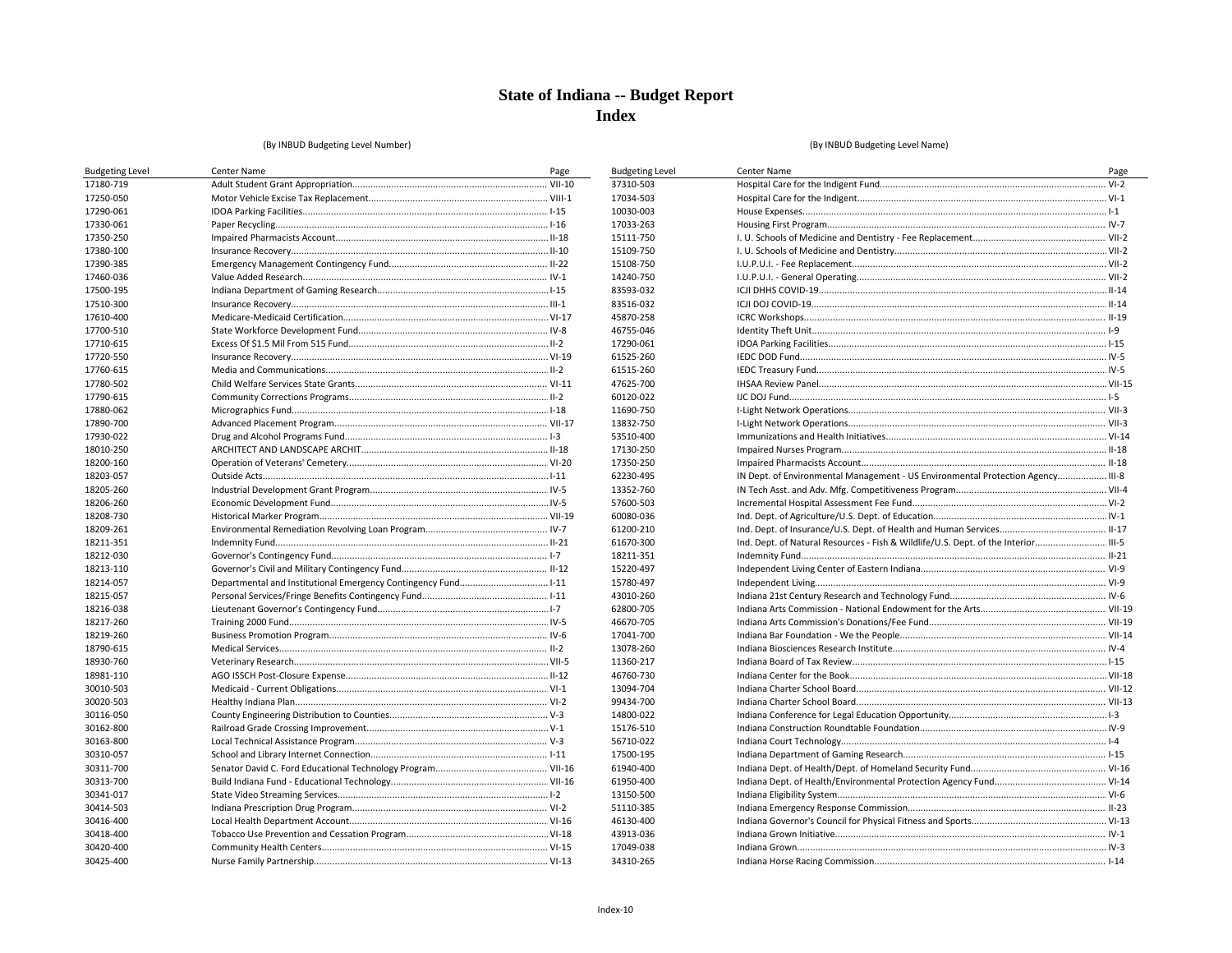**Budgeting Level** 37310-503 17034-503 10030-003 17033-263 15111-750 15109-750 15108-750 14240-750 83593-032 83516-032 45870-258 46755-046 17290-061 61525-260 61515-260 47625-700 60120-022 11690-750 13832-750 53510-400 17130-250 17350-250 62230-495 13352-760 57600-503 60080-036 61200-210 61670-300 18211-351 15220-497 15780-497 43010-260 62800-705 46670-705 17041-700 13078-260 11360-217 46760-730 13094-704 99434-700 14800-022 15176-510 56710-022 17500-195 61940-400 61950-400 13150-500 51110-385 46130-400 43913-036 17049-038 34310-265

#### (By INBUD Budgeting Level Number)

| <b>Budgeting Level</b> | Center Name | Page |
|------------------------|-------------|------|
| 17180-719              |             |      |
| 17250-050              |             |      |
| 17290-061              |             |      |
| 17330-061              |             |      |
| 17350-250              |             |      |
| 17380-100              |             |      |
| 17390-385              |             |      |
| 17460-036              |             |      |
| 17500-195              |             |      |
| 17510-300              |             |      |
| 17610-400              |             |      |
| 17700-510              |             |      |
| 17710-615              |             |      |
| 17720-550              |             |      |
| 17760-615              |             |      |
| 17780-502              |             |      |
| 17790-615              |             |      |
| 17880-062              |             |      |
| 17890-700              |             |      |
| 17930-022              |             |      |
| 18010-250              |             |      |
| 18200-160              |             |      |
| 18203-057              |             |      |
| 18205-260              |             |      |
| 18206-260              |             |      |
| 18208-730              |             |      |
| 18209-261              |             |      |
| 18211-351              |             |      |
| 18212-030              |             |      |
| 18213-110              |             |      |
| 18214-057              |             |      |
| 18215-057              |             |      |
| 18216-038              |             |      |
| 18217-260              |             |      |
| 18219-260              |             |      |
| 18790-615              |             |      |
| 18930-760              |             |      |
| 18981-110              |             |      |
| 30010-503              |             |      |
| 30020-503              |             |      |
| 30116-050              |             |      |
| 30162-800              |             |      |
| 30163-800              |             |      |
| 30310-057              |             |      |
| 30311-700              |             |      |
| 30313-700              |             |      |
| 30341-017              |             |      |
| 30414-503              |             |      |
| 30416-400              |             |      |
| 30418-400              |             |      |
| 30420-400              |             |      |
| 30425-400              |             |      |
|                        |             |      |

| Center Name                                                                        | Page |
|------------------------------------------------------------------------------------|------|
|                                                                                    |      |
|                                                                                    |      |
|                                                                                    |      |
|                                                                                    |      |
|                                                                                    |      |
|                                                                                    |      |
|                                                                                    |      |
|                                                                                    |      |
|                                                                                    |      |
|                                                                                    |      |
|                                                                                    |      |
|                                                                                    |      |
|                                                                                    |      |
|                                                                                    |      |
|                                                                                    |      |
|                                                                                    |      |
|                                                                                    |      |
|                                                                                    |      |
|                                                                                    |      |
|                                                                                    |      |
|                                                                                    |      |
|                                                                                    |      |
| IN Dept. of Environmental Management - US Environmental Protection Agency III-8    |      |
|                                                                                    |      |
|                                                                                    |      |
|                                                                                    |      |
|                                                                                    |      |
| Ind. Dept. of Natural Resources - Fish & Wildlife/U.S. Dept. of the Interior III-5 |      |
|                                                                                    |      |
|                                                                                    |      |
|                                                                                    |      |
|                                                                                    |      |
|                                                                                    |      |
|                                                                                    |      |
|                                                                                    |      |
|                                                                                    |      |
|                                                                                    |      |
|                                                                                    |      |
|                                                                                    |      |
|                                                                                    |      |
|                                                                                    |      |
|                                                                                    |      |
|                                                                                    |      |
|                                                                                    |      |
|                                                                                    |      |
|                                                                                    |      |
|                                                                                    |      |
|                                                                                    |      |
|                                                                                    |      |
|                                                                                    |      |
|                                                                                    |      |
|                                                                                    |      |
|                                                                                    |      |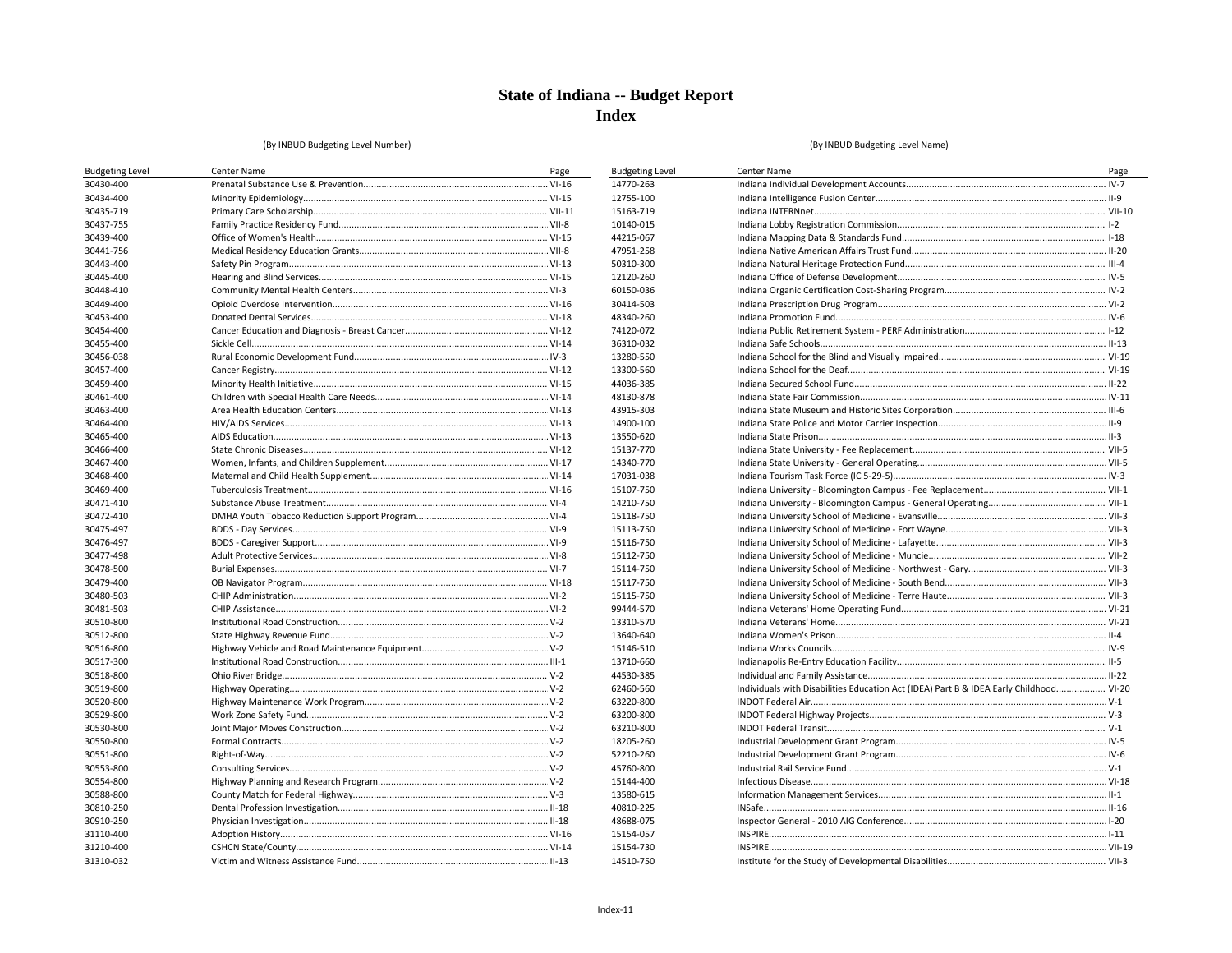**Budgeting Level** 14770-263 12755-100 15163-719

10140-015 44215-067 47951-258 50310-300 12120-260 60150-036 30414-503 48340-260 74120-072 36310-032 13280-550

13300-560

44036-385 48130-878

43915-303 14900-100 13550-620 15137-770 14340-770 17031-038 15107-750 14210-750 15118-750 15113-750 15116-750 15112-750 15114-750 15117-750 15115-750 99444-570

13310-570

13640-640 15146-510 13710-660 44530-385 62460-560

63220-800 63200-800 63210-800 18205-260 52210-260 45760-800 15144-400

13580-615 40810-225 48688-075 15154-057 15154-730

14510-750

#### (By INBUD Budgeting Level Number)

| <b>Budgeting Level</b> | Center Name | Page |
|------------------------|-------------|------|
| 30430-400              |             |      |
| 30434-400              |             |      |
| 30435-719              |             |      |
| 30437-755              |             |      |
| 30439-400              |             |      |
| 30441-756              |             |      |
| 30443-400              |             |      |
| 30445-400              |             |      |
| 30448-410              |             |      |
| 30449-400              |             |      |
| 30453-400              |             |      |
| 30454-400              |             |      |
| 30455-400              |             |      |
| 30456-038              |             |      |
| 30457-400              |             |      |
| 30459-400              |             |      |
| 30461-400              |             |      |
| 30463-400              |             |      |
| 30464-400              |             |      |
| 30465-400              |             |      |
| 30466-400              |             |      |
| 30467-400              |             |      |
| 30468-400              |             |      |
| 30469-400              |             |      |
| 30471-410              |             |      |
| 30472-410              |             |      |
| 30475-497              |             |      |
| 30476-497              |             |      |
| 30477-498              |             |      |
| 30478-500              |             |      |
| 30479-400              |             |      |
| 30480-503              |             |      |
| 30481-503              |             |      |
| 30510-800              |             |      |
| 30512-800              |             |      |
| 30516-800              |             |      |
| 30517-300              |             |      |
| 30518-800              |             |      |
| 30519-800              |             |      |
| 30520-800              |             |      |
| 30529-800              |             |      |
| 30530-800              |             |      |
| 30550-800              |             |      |
| 30551-800              |             |      |
| 30553-800              |             |      |
| 30554-800              |             |      |
| 30588-800              |             |      |
| 30810-250              |             |      |
| 30910-250              |             |      |
| 31110-400              |             |      |
| 31210-400              |             |      |
| 31310-032              |             |      |

| Center Name                                                                            | Page |
|----------------------------------------------------------------------------------------|------|
|                                                                                        |      |
|                                                                                        |      |
|                                                                                        |      |
|                                                                                        |      |
|                                                                                        |      |
|                                                                                        |      |
|                                                                                        |      |
|                                                                                        |      |
|                                                                                        |      |
|                                                                                        |      |
|                                                                                        |      |
|                                                                                        |      |
|                                                                                        |      |
|                                                                                        |      |
|                                                                                        |      |
|                                                                                        |      |
|                                                                                        |      |
|                                                                                        |      |
|                                                                                        |      |
|                                                                                        |      |
|                                                                                        |      |
|                                                                                        |      |
|                                                                                        |      |
|                                                                                        |      |
|                                                                                        |      |
|                                                                                        |      |
|                                                                                        |      |
|                                                                                        |      |
|                                                                                        |      |
|                                                                                        |      |
|                                                                                        |      |
|                                                                                        |      |
|                                                                                        |      |
|                                                                                        |      |
|                                                                                        |      |
|                                                                                        |      |
|                                                                                        |      |
|                                                                                        |      |
| Individuals with Disabilities Education Act (IDEA) Part B & IDEA Early Childhood VI-20 |      |
|                                                                                        |      |
|                                                                                        |      |
|                                                                                        |      |
|                                                                                        |      |
|                                                                                        |      |
|                                                                                        |      |
|                                                                                        |      |
|                                                                                        |      |
|                                                                                        |      |
|                                                                                        |      |
|                                                                                        |      |
|                                                                                        |      |
|                                                                                        |      |
|                                                                                        |      |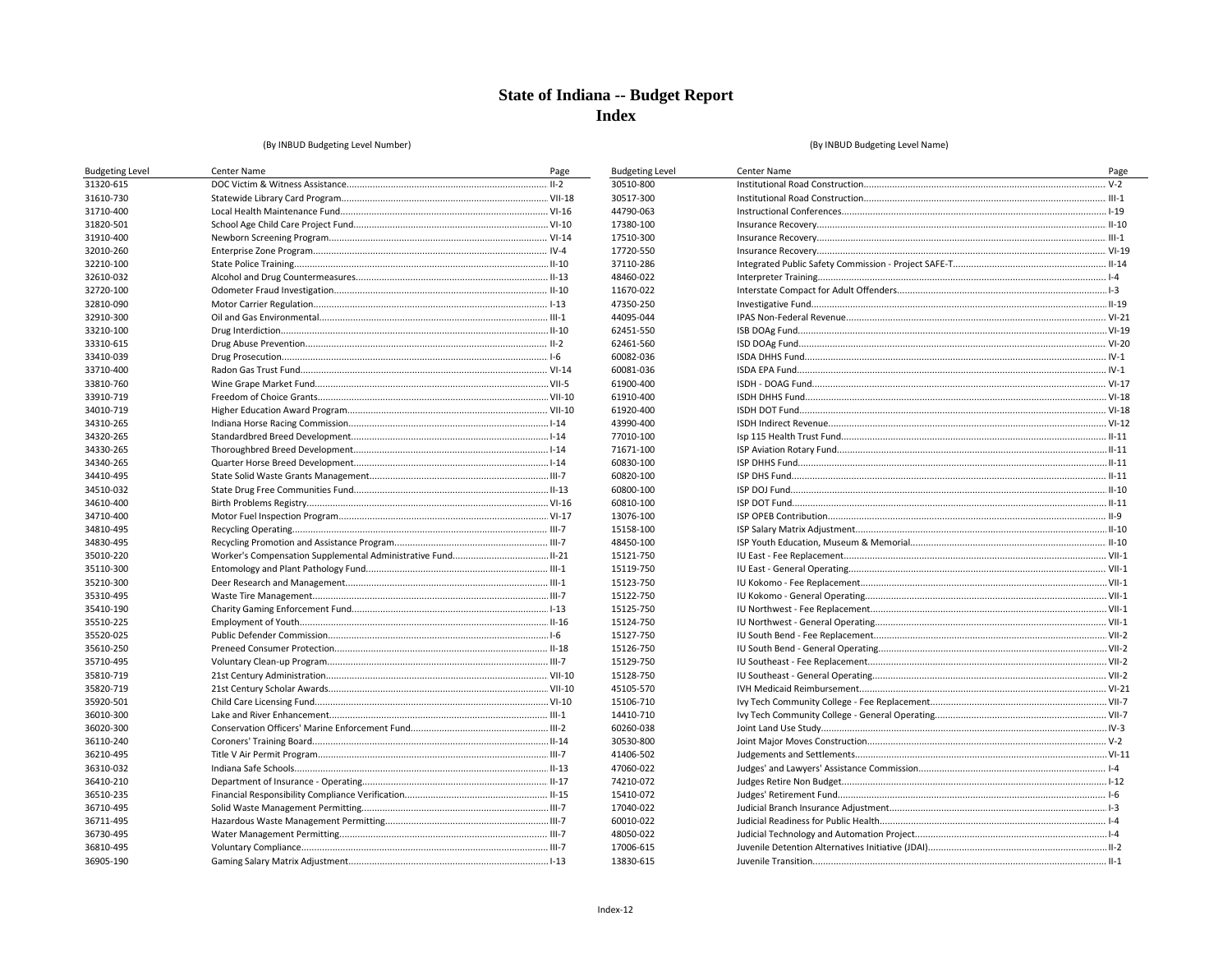**Budgeting Level** 30510-800 30517-300 44790-063 17380-100 17510-300 17720-550

37110-286 48460-022 11670-022 47350-250 44095-044

62451-550

62461-560

60082-036 60081-036 61900-400

61910-400

61920-400

43990-400

77010-100 71671-100 60830-100 60820-100 60800-100 60810-100 13076-100 15158-100 48450-100 15121-750 15119-750 15123-750 15122-750 15125-750 15124-750 15127-750 15126-750 15129-750 15128-750 45105-570 15106-710 14410-710 60260-038 30530-800 41406-502

#### (By INBUD Budgeting Level Number)

#### (By INBUD Budgeting Level Name)

| <b>Budgeting Level</b> | Center Name | Page |
|------------------------|-------------|------|
| 31320-615              |             |      |
| 31610-730              |             |      |
| 31710-400              |             |      |
| 31820-501              |             |      |
| 31910-400              |             |      |
| 32010-260              |             |      |
| 32210-100              |             |      |
| 32610-032              |             |      |
| 32720-100              |             |      |
| 32810-090              |             |      |
| 32910-300              |             |      |
| 33210-100              |             |      |
| 33310-615              |             |      |
| 33410-039              |             |      |
| 33710-400              |             |      |
| 33810-760              |             |      |
| 33910-719              |             |      |
| 34010-719              |             |      |
| 34310-265              |             |      |
| 34320-265              |             |      |
| 34330-265              |             |      |
| 34340-265              |             |      |
| 34410-495              |             |      |
| 34510-032              |             |      |
| 34610-400              |             |      |
| 34710-400              |             |      |
| 34810-495              |             |      |
| 34830-495              |             |      |
| 35010-220              |             |      |
| 35110-300              |             |      |
| 35210-300              |             |      |
| 35310-495              |             |      |
| 35410-190              |             |      |
| 35510-225              |             |      |
| 35520-025              |             |      |
| 35610-250              |             |      |
| 35710-495              |             |      |
| 35810-719              |             |      |
| 35820-719              |             |      |
| 35920-501              |             |      |
| 36010-300              |             |      |
| 36020-300              |             |      |
| 36110-240              |             |      |
| 36210-495              |             |      |
| 36310-032              |             |      |
| 36410-210              |             |      |
| 36510-235              |             |      |
| 36710-495              |             |      |
| 36711-495              |             |      |
| 36730-495              |             |      |
| 36810-495              |             |      |
| 36905-190              |             |      |

| Center Name | Page |
|-------------|------|
|             |      |
|             |      |
|             |      |
|             |      |
|             |      |
|             |      |
|             |      |
|             |      |
|             |      |
|             |      |
|             |      |
|             |      |
|             |      |
|             |      |
|             |      |
|             |      |
|             |      |
|             |      |
|             |      |
|             |      |
|             |      |
|             |      |
|             |      |
|             |      |
|             |      |
|             |      |
|             |      |
|             |      |
|             |      |
|             |      |
|             |      |
|             |      |
|             |      |
|             |      |
|             |      |
|             |      |
|             |      |
|             |      |
|             |      |
|             |      |
|             |      |
|             |      |
|             |      |
|             |      |
|             |      |
|             |      |
|             |      |
|             |      |
|             |      |
|             |      |
|             |      |
|             |      |
|             |      |

47060-022 74210-072 15410-072 17040-022 60010-022 48050-022 17006-615 13830-615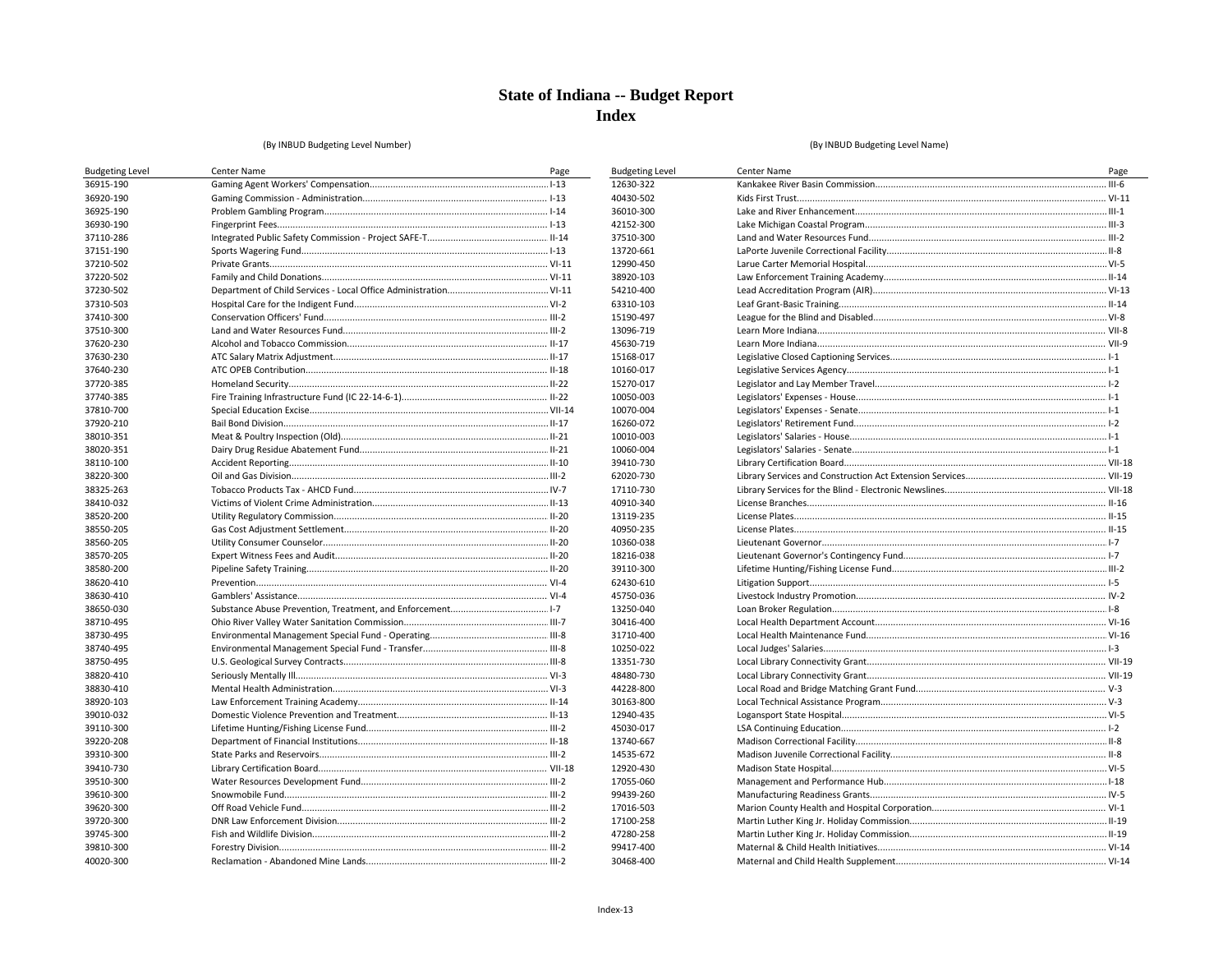**Budgeting Level** 12630-322 40430-502 36010-300 42152-300 37510-300 13720-661 12990-450 38920-103 54210-400 63310-103 15190-497 13096-719 45630-719 15168-017 10160-017 15270-017 10050-003 10070-004 16260-072 10010-003 10060-004 39410-730

62020-730

17110-730

40910-340 13119-235 40950-235 10360-038 18216-038 39110-300 62430-610 45750-036 13250-040 30416-400

31710-400

10250-022 13351-730

48480-730

44228-800 30163-800 12940-435 45030-017 13740-667 14535-672 12920-430 17055-060 99439-260 17016-503 17100-258 47280-258 99417-400 30468-400

#### (By INBUD Budgeting Level Number)

| <b>Budgeting Level</b> | Center Name | Page |
|------------------------|-------------|------|
| 36915-190              |             |      |
| 36920-190              |             |      |
| 36925-190              |             |      |
| 36930-190              |             |      |
| 37110-286              |             |      |
| 37151-190              |             |      |
| 37210-502              |             |      |
| 37220-502              |             |      |
| 37230-502              |             |      |
| 37310-503              |             |      |
| 37410-300              |             |      |
| 37510-300              |             |      |
| 37620-230              |             |      |
| 37630-230              |             |      |
| 37640-230              |             |      |
| 37720-385              |             |      |
| 37740-385              |             |      |
| 37810-700              |             |      |
| 37920-210              |             |      |
| 38010-351              |             |      |
| 38020-351              |             |      |
| 38110-100              |             |      |
| 38220-300              |             |      |
| 38325-263              |             |      |
| 38410-032              |             |      |
| 38520-200              |             |      |
| 38550-205              |             |      |
| 38560-205              |             |      |
| 38570-205              |             |      |
| 38580-200              |             |      |
| 38620-410              |             |      |
| 38630-410              |             |      |
| 38650-030              |             |      |
| 38710-495              |             |      |
| 38730-495              |             |      |
| 38740-495              |             |      |
| 38750-495              |             |      |
| 38820-410              |             |      |
| 38830-410              |             |      |
| 38920-103              |             |      |
| 39010-032              |             |      |
| 39110-300              |             |      |
| 39220-208              |             |      |
| 39310-300              |             |      |
| 39410-730              |             |      |
| 39510-300              |             |      |
| 39610-300              |             |      |
| 39620-300              |             |      |
| 39720-300              |             |      |
| 39745-300              |             |      |
| 39810-300              |             |      |
| 40020-300              |             |      |

| Center Name | Page |
|-------------|------|
|             |      |
|             |      |
|             |      |
|             |      |
|             |      |
|             |      |
|             |      |
|             |      |
|             |      |
|             |      |
|             |      |
|             |      |
|             |      |
|             |      |
|             |      |
|             |      |
|             |      |
|             |      |
|             |      |
|             |      |
|             |      |
|             |      |
|             |      |
|             |      |
|             |      |
|             |      |
|             |      |
|             |      |
|             |      |
|             |      |
|             |      |
|             |      |
|             |      |
|             |      |
|             |      |
|             |      |
|             |      |
|             |      |
|             |      |
|             |      |
|             |      |
|             |      |
|             |      |
|             |      |
|             |      |
|             |      |
|             |      |
|             |      |
|             |      |
|             |      |
|             |      |
|             |      |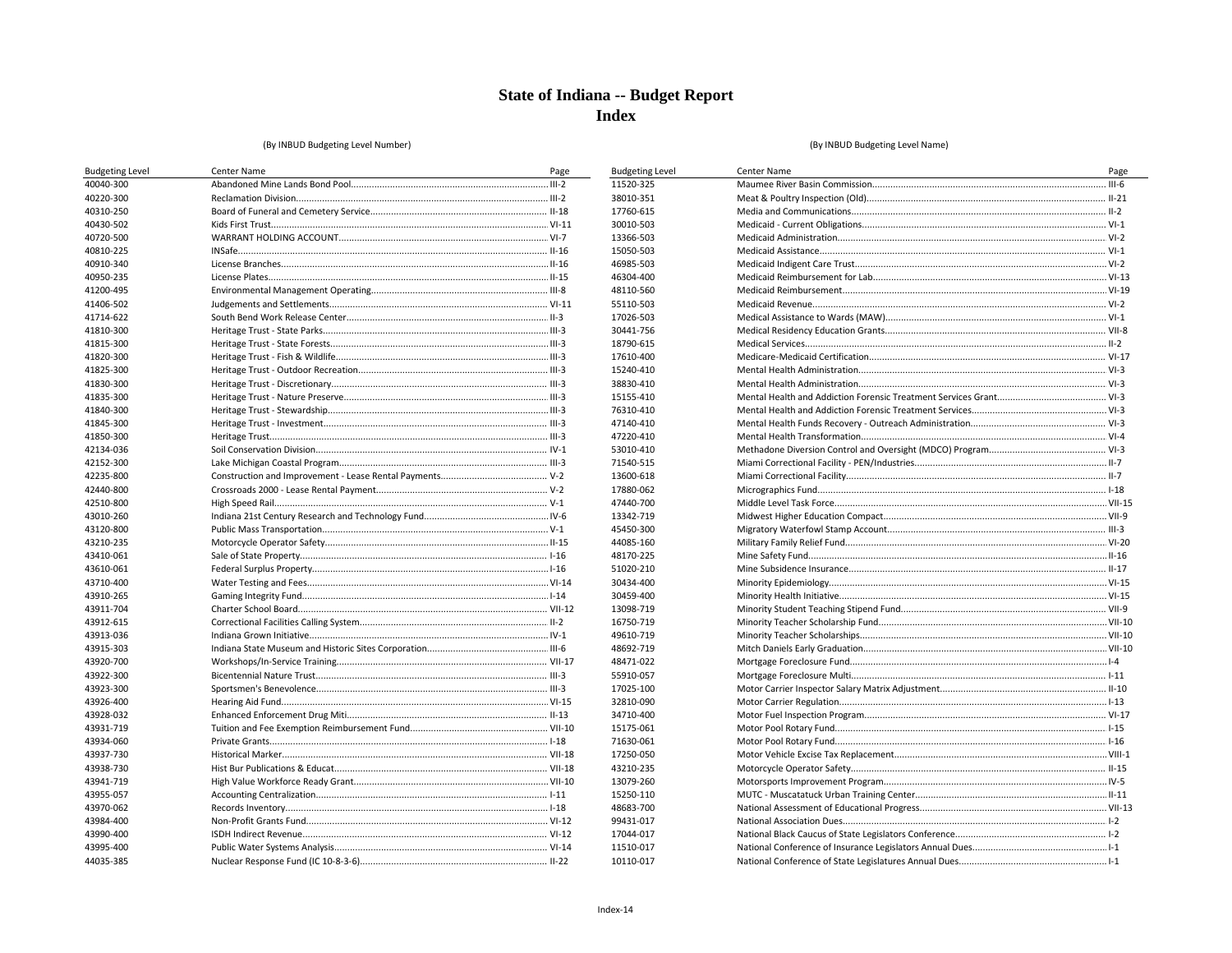**Budgeting Level** 11520-325 38010-351 17760-615 30010-503 13366-503 15050-503 46985-503 46304-400 48110-560

55110-503 17026-503 30441-756 18790-615 17610-400 15240-410 38830-410 15155-410 76310-410 47140-410 47220-410 53010-410 71540-515 13600-618 17880-062 47440-700

13342-719 45450-300 44085-160 48170-225 51020-210 30434-400 30459-400 13098-719 16750-719

49610-719

48692-719

48471-022 55910-057 17025-100 32810-090 34710-400 15175-061 71630-061 17250-050 43210-235 13079-260 15250-110 48683-700

99431-017 17044-017 11510-017 10110-017

#### (By INBUD Budgeting Level Number)

| <b>Budgeting Level</b> | Center Name | Page |
|------------------------|-------------|------|
| 40040-300              |             |      |
| 40220-300              |             |      |
| 40310-250              |             |      |
| 40430-502              |             |      |
| 40720-500              |             |      |
| 40810-225              |             |      |
| 40910-340              |             |      |
| 40950-235              |             |      |
| 41200-495              |             |      |
| 41406-502              |             |      |
| 41714-622              |             |      |
| 41810-300              |             |      |
| 41815-300              |             |      |
| 41820-300              |             |      |
| 41825-300              |             |      |
| 41830-300              |             |      |
| 41835-300              |             |      |
| 41840-300              |             |      |
| 41845-300              |             |      |
| 41850-300              |             |      |
| 42134-036              |             |      |
| 42152-300              |             |      |
| 42235-800              |             |      |
| 42440-800              |             |      |
| 42510-800              |             |      |
| 43010-260              |             |      |
| 43120-800              |             |      |
| 43210-235              |             |      |
| 43410-061              |             |      |
| 43610-061              |             |      |
| 43710-400              |             |      |
| 43910-265              |             |      |
| 43911-704              |             |      |
| 43912-615              |             |      |
| 43913-036              |             |      |
| 43915-303              |             |      |
| 43920-700              |             |      |
| 43922-300              |             |      |
| 43923-300              |             |      |
| 43926-400              |             |      |
| 43928-032              |             |      |
| 43931-719              |             |      |
| 43934-060              |             |      |
| 43937-730              |             |      |
| 43938-730              |             |      |
| 43941-719              |             |      |
| 43955-057              |             |      |
| 43970-062              |             |      |
| 43984-400              |             |      |
| 43990-400              |             |      |
| 43995-400              |             |      |
| 44035-385              |             |      |

| Center Name | Page |
|-------------|------|
|             |      |
|             |      |
|             |      |
|             |      |
|             |      |
|             |      |
|             |      |
|             |      |
|             |      |
|             |      |
|             |      |
|             |      |
|             |      |
|             |      |
|             |      |
|             |      |
|             |      |
|             |      |
|             |      |
|             |      |
|             |      |
|             |      |
|             |      |
|             |      |
|             |      |
|             |      |
|             |      |
|             |      |
|             |      |
|             |      |
|             |      |
|             |      |
|             |      |
|             |      |
|             |      |
|             |      |
|             |      |
|             |      |
|             |      |
|             |      |
|             |      |
|             |      |
|             |      |
|             |      |
|             |      |
|             |      |
|             |      |
|             |      |
|             |      |
|             |      |
|             |      |
|             |      |
|             |      |
|             |      |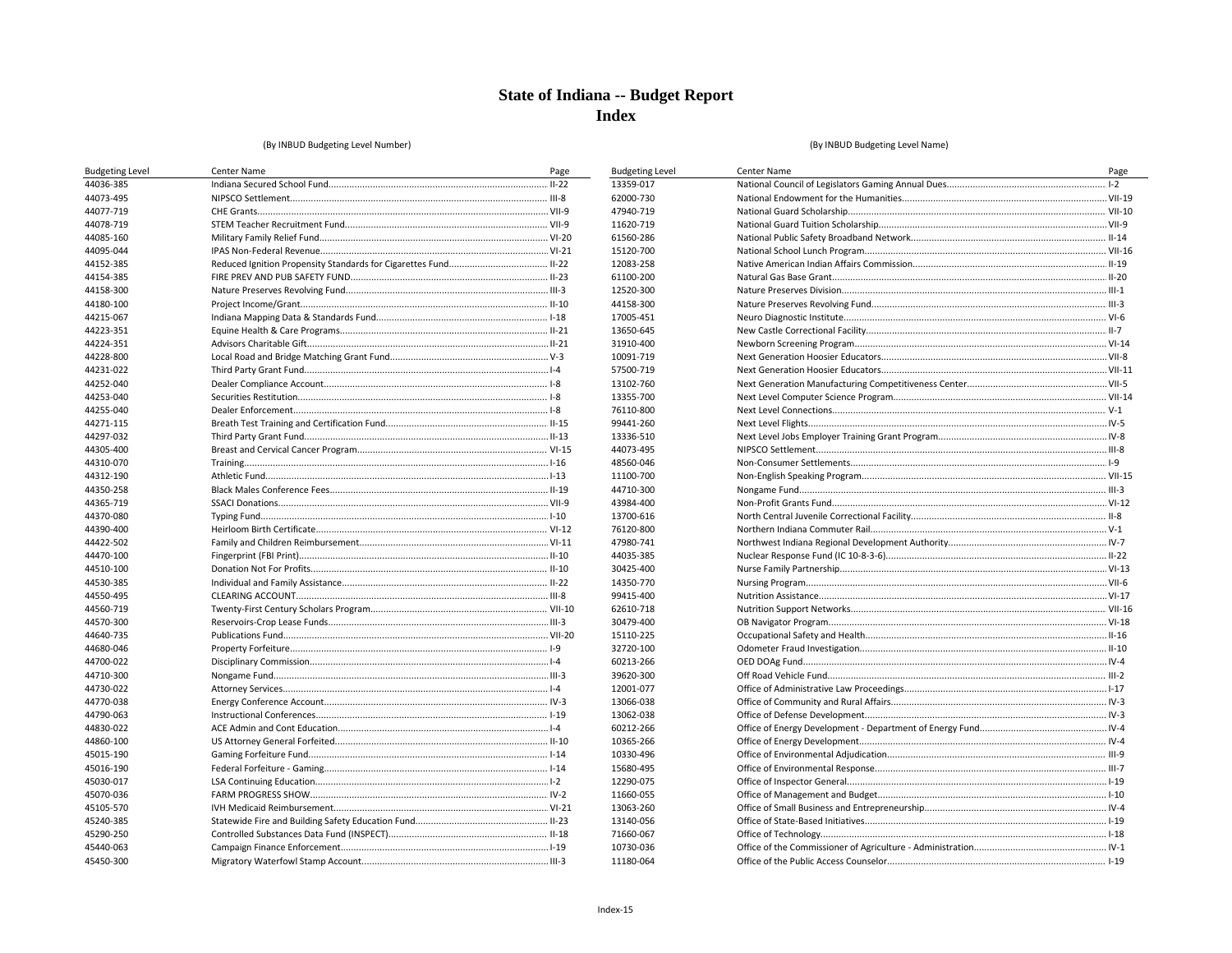**Budgeting Level** 13359-017 62000-730

47940-719

11620-719 61560-286 15120-700

12083-258 61100-200 12520-300 44158-300 17005-451 13650-645 31910-400 10091-719 57500-719

13102-760 13355-700

76110-800 99441-260 13336-510 44073-495 48560-046 11100-700

44710-300 43984-400 13700-616 76120-800 47980-741 44035-385 30425-400 14350-770 99415-400 62610-718

30479-400

15110-225 32720-100 60213-266 39620-300 12001-077 13066-038 13062-038 60212-266 10365-266 10330-496 15680-495 12290-075 11660-055 13063-260 13140-056 71660-067 10730-036 11180-064

#### (By INBUD Budgeting Level Number)

| <b>Budgeting Level</b> | Center Name | Page |
|------------------------|-------------|------|
| 44036-385              |             |      |
| 44073-495              |             |      |
| 44077-719              |             |      |
| 44078-719              |             |      |
| 44085-160              |             |      |
| 44095-044              |             |      |
| 44152-385              |             |      |
| 44154-385              |             |      |
| 44158-300              |             |      |
| 44180-100              |             |      |
| 44215-067              |             |      |
| 44223-351              |             |      |
| 44224-351              |             |      |
| 44228-800              |             |      |
| 44231-022              |             |      |
| 44252-040              |             |      |
| 44253-040              |             |      |
| 44255-040              |             |      |
| 44271-115              |             |      |
| 44297-032              |             |      |
| 44305-400              |             |      |
| 44310-070              |             |      |
| 44312-190              |             |      |
| 44350-258              |             |      |
| 44365-719              |             |      |
| 44370-080              |             |      |
| 44390-400              |             |      |
| 44422-502              |             |      |
| 44470-100              |             |      |
| 44510-100              |             |      |
| 44530-385              |             |      |
| 44550-495              |             |      |
| 44560-719              |             |      |
| 44570-300              |             |      |
| 44640-735              |             |      |
| 44680-046              |             |      |
| 44700-022              |             |      |
| 44710-300              |             |      |
| 44730-022              |             |      |
| 44770-038              |             |      |
| 44790-063              |             |      |
| 44830-022              |             |      |
| 44860-100              |             |      |
| 45015-190              |             |      |
| 45016-190              |             |      |
| 45030-017              |             |      |
| 45070-036              |             |      |
| 45105-570              |             |      |
| 45240-385              |             |      |
| 45290-250              |             |      |
| 45440-063              |             |      |
| 45450-300              |             |      |

| Center Name | Page |
|-------------|------|
|             |      |
|             |      |
|             |      |
|             |      |
|             |      |
|             |      |
|             |      |
|             |      |
|             |      |
|             |      |
|             |      |
|             |      |
|             |      |
|             |      |
|             |      |
|             |      |
|             |      |
|             |      |
|             |      |
|             |      |
|             |      |
|             |      |
|             |      |
|             |      |
|             |      |
|             |      |
|             |      |
|             |      |
|             |      |
|             |      |
|             |      |
|             |      |
|             |      |
|             |      |
|             |      |
|             |      |
|             |      |
|             |      |
|             |      |
|             |      |
|             |      |
|             |      |
|             |      |
|             |      |
|             |      |
|             |      |
|             |      |
|             |      |
|             |      |
|             |      |
|             |      |
|             |      |
|             |      |
|             |      |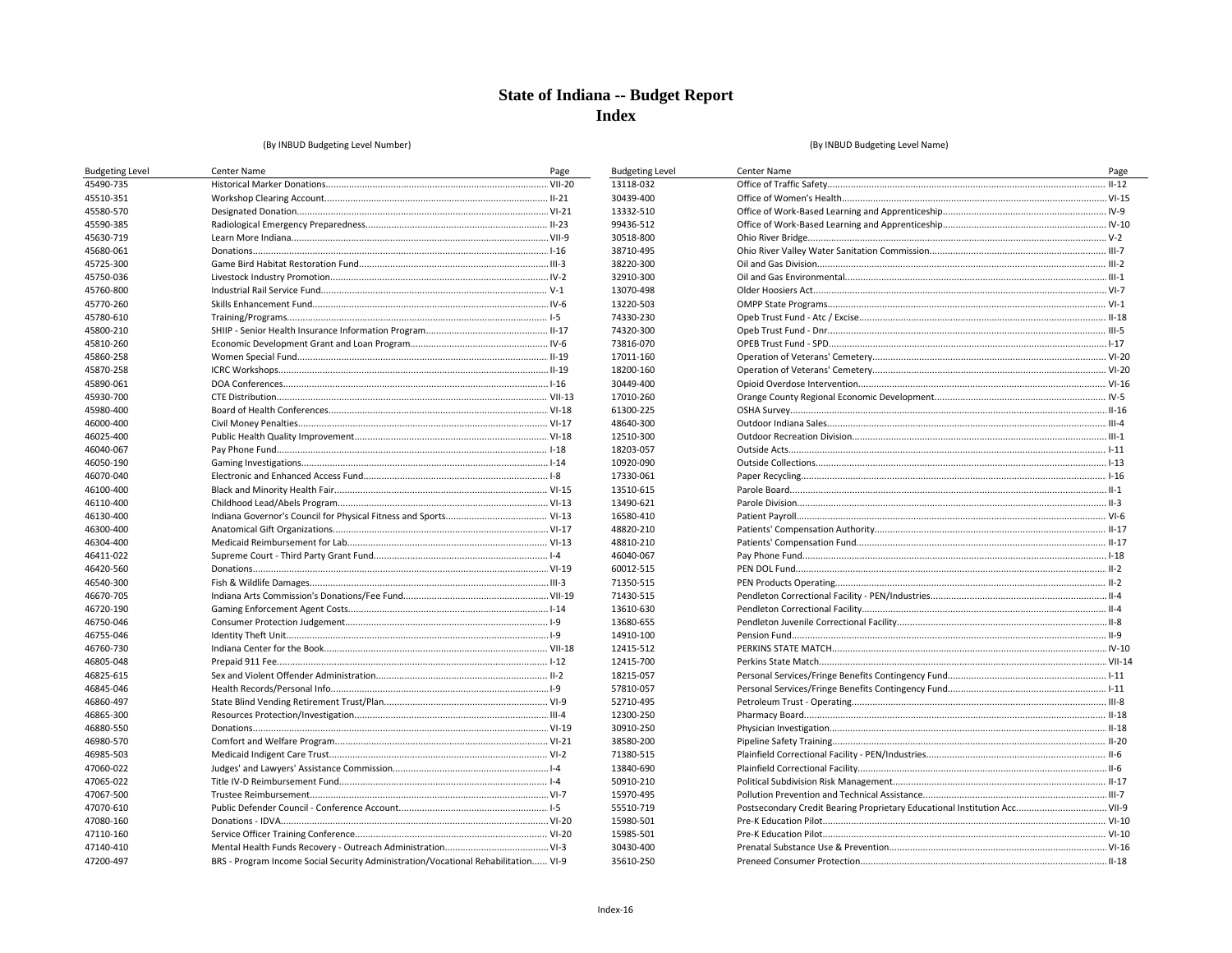**Budgeting Level** 13118-032 30439-400

13332-510 99436-512

30518-800 38710-495 38220-300 32910-300 13070-498 13220-503 74330-230 74320-300 73816-070 17011-160

18200-160

30449-400

17010-260 61300-225 48640-300 12510-300 18203-057 10920-090 17330-061 13510-615 13490-621 16580-410 48820-210 48810-210 46040-067 60012-515 71350-515 71430-515 13610-630 13680-655 14910-100 12415-512

12415-700

18215-057 57810-057 52710-495 12300-250 30910-250 38580-200 71380-515 13840-690 50910-210 15970-495 55510-719 15980-501

15985-501

30430-400

35610-250

#### (By INBUD Budgeting Level Number)

| <b>Budgeting Level</b> | Center Name                                                                        | Page |
|------------------------|------------------------------------------------------------------------------------|------|
| 45490-735              |                                                                                    |      |
| 45510-351              |                                                                                    |      |
| 45580-570              |                                                                                    |      |
| 45590-385              |                                                                                    |      |
| 45630-719              |                                                                                    |      |
| 45680-061              |                                                                                    |      |
| 45725-300              |                                                                                    |      |
| 45750-036              |                                                                                    |      |
| 45760-800              |                                                                                    |      |
| 45770-260              |                                                                                    |      |
| 45780-610              |                                                                                    |      |
| 45800-210              |                                                                                    |      |
| 45810-260              |                                                                                    |      |
| 45860-258              |                                                                                    |      |
| 45870-258              |                                                                                    |      |
| 45890-061              |                                                                                    |      |
| 45930-700              |                                                                                    |      |
| 45980-400              |                                                                                    |      |
| 46000-400              |                                                                                    |      |
| 46025-400              |                                                                                    |      |
| 46040-067              |                                                                                    |      |
| 46050-190              |                                                                                    |      |
| 46070-040              |                                                                                    |      |
| 46100-400              |                                                                                    |      |
| 46110-400              |                                                                                    |      |
| 46130-400              |                                                                                    |      |
| 46300-400              |                                                                                    |      |
| 46304-400              |                                                                                    |      |
| 46411-022              |                                                                                    |      |
| 46420-560              |                                                                                    |      |
| 46540-300              |                                                                                    |      |
| 46670-705              |                                                                                    |      |
| 46720-190              |                                                                                    |      |
| 46750-046              |                                                                                    |      |
| 46755-046              |                                                                                    |      |
| 46760-730              |                                                                                    |      |
| 46805-048              |                                                                                    |      |
| 46825-615              |                                                                                    |      |
| 46845-046              |                                                                                    |      |
| 46860-497              |                                                                                    |      |
| 46865-300              |                                                                                    |      |
| 46880-550              |                                                                                    |      |
| 46980-570              |                                                                                    |      |
| 46985-503              |                                                                                    |      |
| 47060-022              |                                                                                    |      |
| 47065-022              |                                                                                    |      |
| 47067-500              |                                                                                    |      |
| 47070-610              |                                                                                    |      |
| 47080-160              |                                                                                    |      |
| 47110-160              |                                                                                    |      |
| 47140-410              |                                                                                    |      |
| 47200-497              | BRS - Program Income Social Security Administration/Vocational Rehabilitation VI-9 |      |

| Center Name                                                                | Page |
|----------------------------------------------------------------------------|------|
|                                                                            |      |
|                                                                            |      |
|                                                                            |      |
|                                                                            |      |
|                                                                            |      |
|                                                                            |      |
|                                                                            |      |
|                                                                            |      |
|                                                                            |      |
|                                                                            |      |
|                                                                            |      |
|                                                                            |      |
|                                                                            |      |
|                                                                            |      |
|                                                                            |      |
|                                                                            |      |
|                                                                            |      |
|                                                                            |      |
|                                                                            |      |
|                                                                            |      |
|                                                                            |      |
|                                                                            |      |
|                                                                            |      |
|                                                                            |      |
|                                                                            |      |
|                                                                            |      |
|                                                                            |      |
|                                                                            |      |
|                                                                            |      |
|                                                                            |      |
|                                                                            |      |
|                                                                            |      |
|                                                                            |      |
|                                                                            |      |
|                                                                            |      |
|                                                                            |      |
|                                                                            |      |
|                                                                            |      |
|                                                                            |      |
|                                                                            |      |
|                                                                            |      |
|                                                                            |      |
|                                                                            |      |
|                                                                            |      |
|                                                                            |      |
|                                                                            |      |
|                                                                            |      |
| Postsecondary Credit Bearing Proprietary Educational Institution Acc VII-9 |      |
|                                                                            |      |
|                                                                            |      |
|                                                                            |      |
|                                                                            |      |
|                                                                            |      |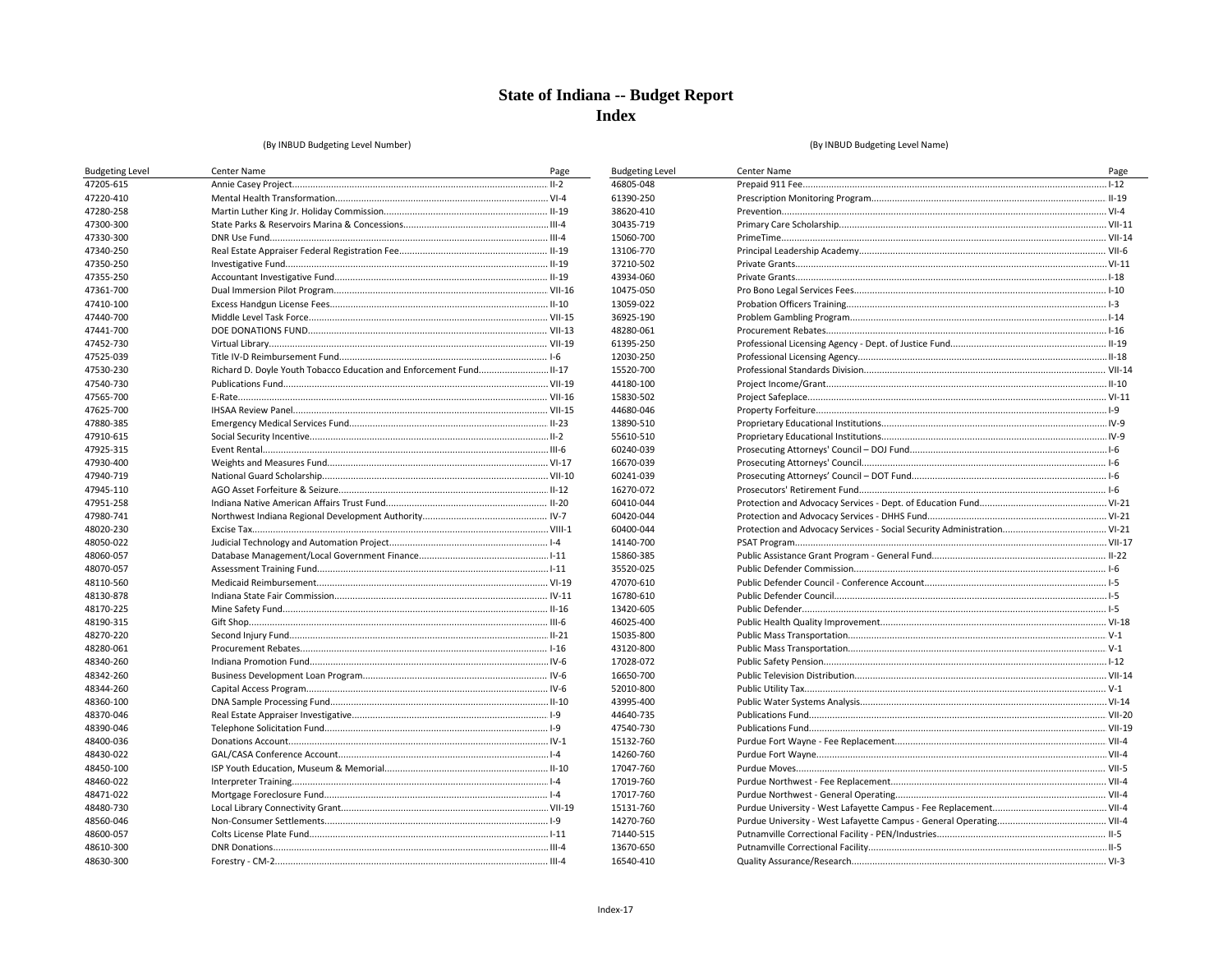**Budgeting Level** 46805-048 61390-250 38620-410 30435-719

15060-700

13106-770 37210-502 43934-060 10475-050 13059-022 36925-190 48280-061 61395-250 12030-250 15520-700

44180-100 15830-502 44680-046 13890-510 55610-510 60240-039 16670-039 60241-039 16270-072 60410-044 60420-044 60400-044 14140-700

15860-385 35520-025 47070-610 16780-610 13420-605 46025-400 15035-800 43120-800 17028-072 16650-700

52010-800 43995-400 44640-735

47540-730

15132-760 14260-760 17047-760 17019-760 17017-760 15131-760 14270-760 71440-515 13670-650 16540-410

#### (By INBUD Budgeting Level Number)

| <b>Budgeting Level</b> | Center Name                                                         | Page |
|------------------------|---------------------------------------------------------------------|------|
| 47205-615              |                                                                     |      |
| 47220-410              |                                                                     |      |
| 47280-258              |                                                                     |      |
| 47300-300              |                                                                     |      |
| 47330-300              |                                                                     |      |
| 47340-250              |                                                                     |      |
| 47350-250              |                                                                     |      |
| 47355-250              |                                                                     |      |
| 47361-700              |                                                                     |      |
| 47410-100              |                                                                     |      |
| 47440-700              |                                                                     |      |
| 47441-700              |                                                                     |      |
| 47452-730              |                                                                     |      |
| 47525-039              |                                                                     |      |
| 47530-230              | Richard D. Doyle Youth Tobacco Education and Enforcement Fund II-17 |      |
| 47540-730              |                                                                     |      |
| 47565-700              |                                                                     |      |
| 47625-700              |                                                                     |      |
| 47880-385              |                                                                     |      |
| 47910-615              |                                                                     |      |
| 47925-315              |                                                                     |      |
| 47930-400              |                                                                     |      |
| 47940-719              |                                                                     |      |
| 47945-110              |                                                                     |      |
| 47951-258              |                                                                     |      |
| 47980-741              |                                                                     |      |
| 48020-230              |                                                                     |      |
| 48050-022              |                                                                     |      |
| 48060-057              |                                                                     |      |
| 48070-057              |                                                                     |      |
| 48110-560              |                                                                     |      |
| 48130-878              |                                                                     |      |
| 48170-225              |                                                                     |      |
| 48190-315              |                                                                     |      |
| 48270-220              |                                                                     |      |
| 48280-061              |                                                                     |      |
| 48340-260              |                                                                     |      |
| 48342-260              |                                                                     |      |
| 48344-260              |                                                                     |      |
| 48360-100              |                                                                     |      |
| 48370-046              |                                                                     |      |
| 48390-046              |                                                                     |      |
| 48400-036              |                                                                     |      |
| 48430-022              |                                                                     |      |
| 48450-100              |                                                                     |      |
| 48460-022              |                                                                     |      |
| 48471-022              |                                                                     |      |
| 48480-730              |                                                                     |      |
| 48560-046              |                                                                     |      |
| 48600-057              |                                                                     |      |
| 48610-300              |                                                                     |      |
| 48630-300              |                                                                     |      |

| Center Name | Page |
|-------------|------|
|             |      |
|             |      |
|             |      |
|             |      |
|             |      |
|             |      |
|             |      |
|             |      |
|             |      |
|             |      |
|             |      |
|             |      |
|             |      |
|             |      |
|             |      |
|             |      |
|             |      |
|             |      |
|             |      |
|             |      |
|             |      |
|             |      |
|             |      |
|             |      |
|             |      |
|             |      |
|             |      |
|             |      |
|             |      |
|             |      |
|             |      |
|             |      |
|             |      |
|             |      |
|             |      |
|             |      |
|             |      |
|             |      |
|             |      |
|             |      |
|             |      |
|             |      |
|             |      |
|             |      |
|             |      |
|             |      |
|             |      |
|             |      |
|             |      |
|             |      |
|             |      |
|             |      |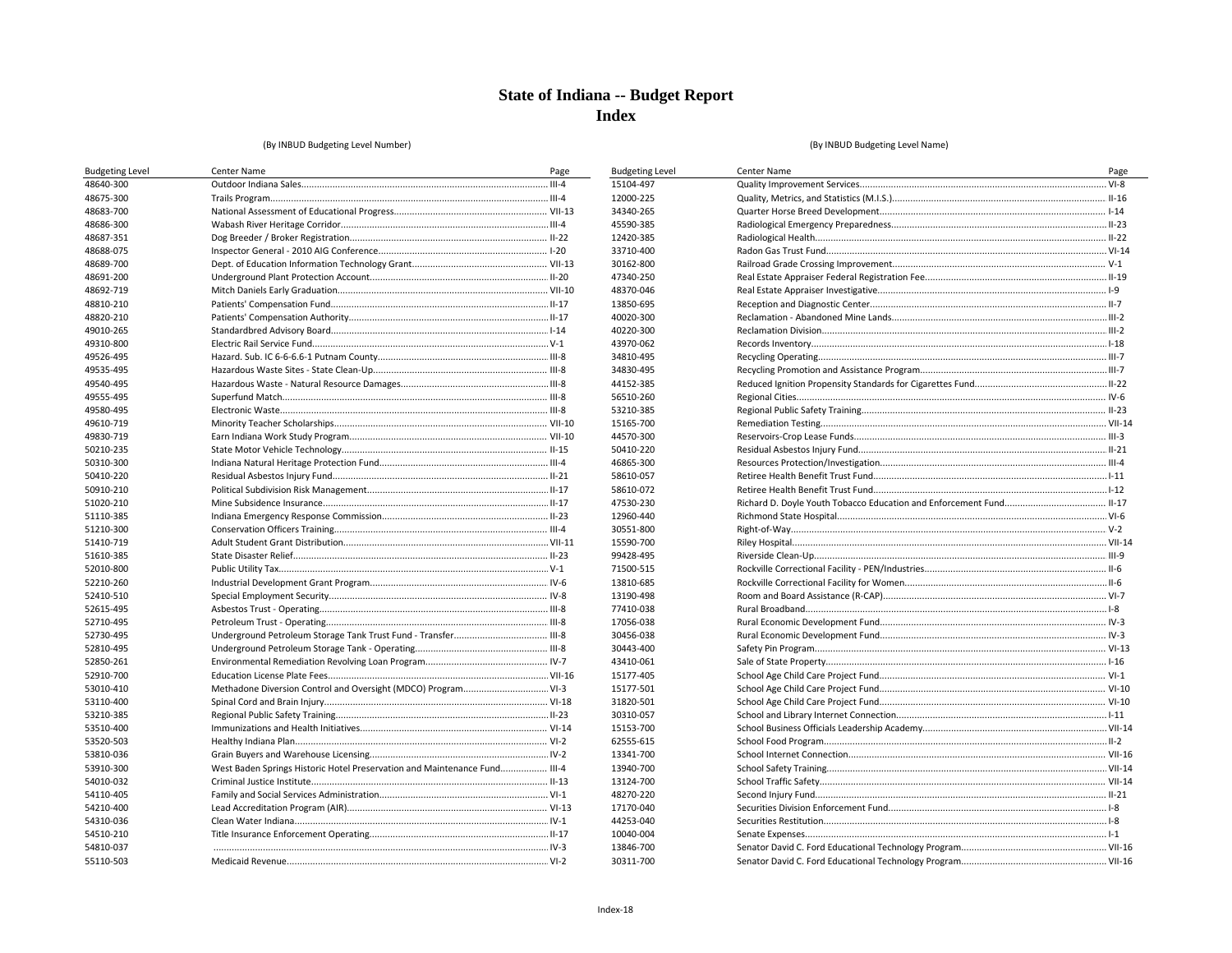**Budgeting Level** 15104-497 12000-225 34340-265 45590-385 12420-385 33710-400 30162-800 47340-250 48370-046 13850-695 40020-300 40220-300 43970-062 34810-495 34830-495 44152-385 56510-260 53210-385 15165-700 44570-300 50410-220 46865-300 58610-057 58610-072 47530-230 12960-440 30551-800 15590-700

99428-495 71500-515 13810-685 13190-498 77410-038 17056-038 30456-038 30443-400 43410-061 15177-405 15177-501 31820-501 30310-057 15153-700

62555-615 13341-700

13940-700

13124-700

48270-220 17170-040 44253-040 10040-004 13846-700

30311-700

#### (By INBUD Budgeting Level Number)

| <b>Budgeting Level</b> | Center Name                                                               | Page |
|------------------------|---------------------------------------------------------------------------|------|
| 48640-300              |                                                                           |      |
| 48675-300              |                                                                           |      |
| 48683-700              |                                                                           |      |
| 48686-300              |                                                                           |      |
| 48687-351              |                                                                           |      |
| 48688-075              |                                                                           |      |
| 48689-700              |                                                                           |      |
| 48691-200              |                                                                           |      |
| 48692-719              |                                                                           |      |
| 48810-210              |                                                                           |      |
| 48820-210              |                                                                           |      |
| 49010-265              |                                                                           |      |
| 49310-800              |                                                                           |      |
| 49526-495              |                                                                           |      |
| 49535-495              |                                                                           |      |
| 49540-495              |                                                                           |      |
| 49555-495              |                                                                           |      |
| 49580-495              |                                                                           |      |
| 49610-719              |                                                                           |      |
| 49830-719              |                                                                           |      |
| 50210-235              |                                                                           |      |
| 50310-300              |                                                                           |      |
| 50410-220              |                                                                           |      |
| 50910-210              |                                                                           |      |
| 51020-210              |                                                                           |      |
| 51110-385              |                                                                           |      |
| 51210-300              |                                                                           |      |
| 51410-719              |                                                                           |      |
| 51610-385              |                                                                           |      |
| 52010-800              |                                                                           |      |
| 52210-260              |                                                                           |      |
| 52410-510              |                                                                           |      |
| 52615-495              |                                                                           |      |
| 52710-495              |                                                                           |      |
| 52730-495              |                                                                           |      |
| 52810-495              |                                                                           |      |
| 52850-261              |                                                                           |      |
| 52910-700              |                                                                           |      |
| 53010-410              |                                                                           |      |
| 53110-400              |                                                                           |      |
| 53210-385              |                                                                           |      |
| 53510-400              |                                                                           |      |
| 53520-503              |                                                                           |      |
| 53810-036              |                                                                           |      |
| 53910-300              | West Baden Springs Historic Hotel Preservation and Maintenance Fund III-4 |      |
| 54010-032              |                                                                           |      |
| 54110-405              |                                                                           |      |
| 54210-400              |                                                                           |      |
| 54310-036              |                                                                           |      |
| 54510-210              |                                                                           |      |
| 54810-037              |                                                                           |      |
| 55110-503              |                                                                           |      |
|                        |                                                                           |      |

| Center Name | Page |
|-------------|------|
|             |      |
|             |      |
|             |      |
|             |      |
|             |      |
|             |      |
|             |      |
|             |      |
|             |      |
|             |      |
|             |      |
|             |      |
|             |      |
|             |      |
|             |      |
|             |      |
|             |      |
|             |      |
|             |      |
|             |      |
|             |      |
|             |      |
|             |      |
|             |      |
|             |      |
|             |      |
|             |      |
|             |      |
|             |      |
|             |      |
|             |      |
|             |      |
|             |      |
|             |      |
|             |      |
|             |      |
|             |      |
|             |      |
|             |      |
|             |      |
|             |      |
|             |      |
|             |      |
|             |      |
|             |      |
|             |      |
|             |      |
|             |      |
|             |      |
|             |      |
|             |      |
|             |      |
|             |      |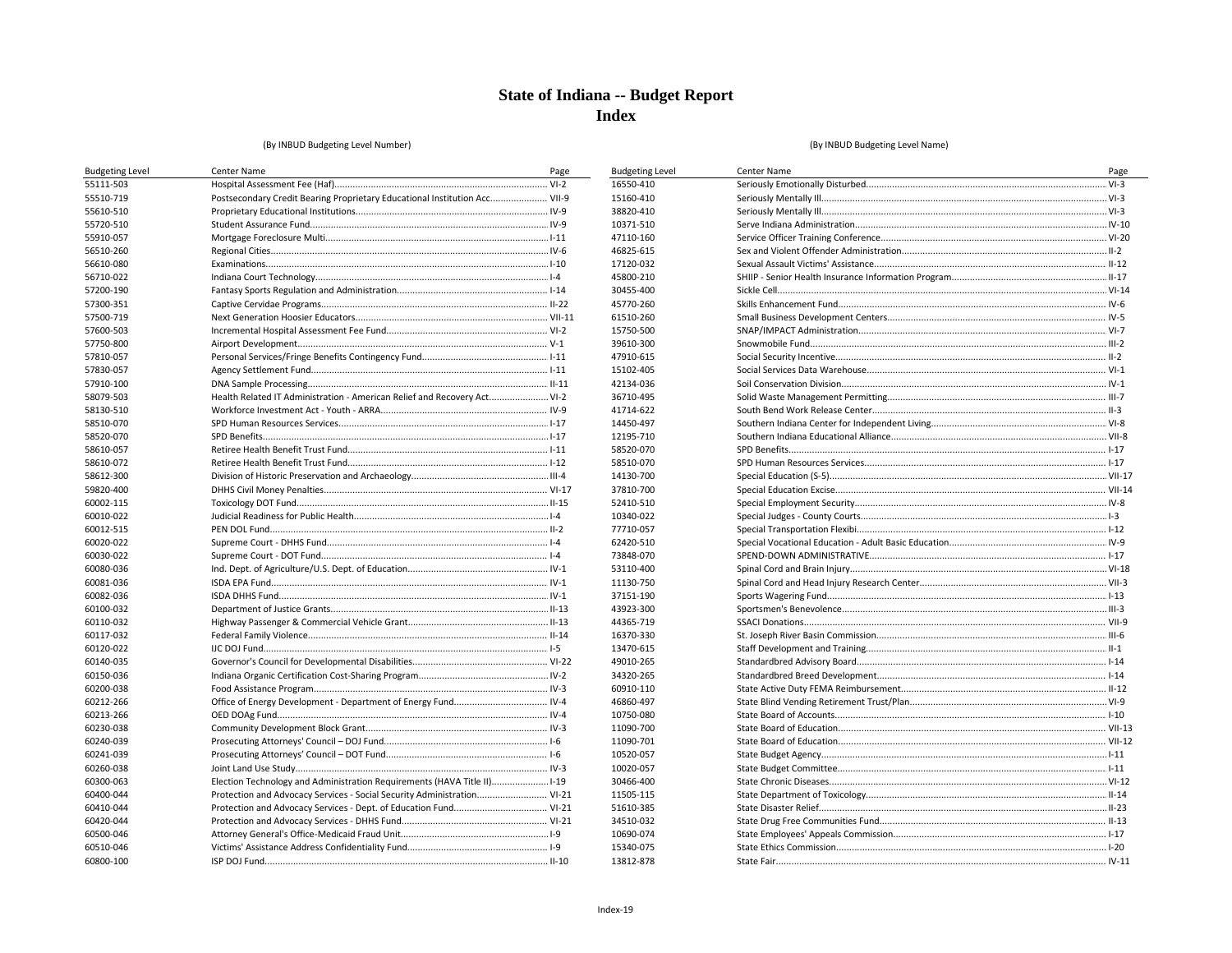**Budgeting Level** 

16550-410 15160-410 38820-410 10371-510

47110-160

46825-615 17120-032 45800-210 30455-400

45770-260 61510-260 15750-500 39610-300 47910-615 15102-405 42134-036 36710-495 41714-622 14450-497 12195-710 58520-070 58510-070 14130-700

37810-700

52410-510 10340-022 77710-057 62420-510 73848-070 53110-400

11130-750 37151-190 43923-300 44365-719 16370-330 13470-615 49010-265 34320-265 60910-110 46860-497 10750-080 11090-700

11090-701

10520-057 10020-057 30466-400

11505-115 51610-385 34510-032 10690-074 15340-075 13812-878

#### (By INBUD Budgeting Level Number)

| <b>Budgeting Level</b> | Center Name                                                                | Page |
|------------------------|----------------------------------------------------------------------------|------|
| 55111-503              |                                                                            |      |
| 55510-719              | Postsecondary Credit Bearing Proprietary Educational Institution Acc VII-9 |      |
| 55610-510              |                                                                            |      |
| 55720-510              |                                                                            |      |
| 55910-057              |                                                                            |      |
| 56510-260              |                                                                            |      |
| 56610-080              |                                                                            |      |
| 56710-022              |                                                                            |      |
| 57200-190              |                                                                            |      |
| 57300-351              |                                                                            |      |
| 57500-719              |                                                                            |      |
| 57600-503              |                                                                            |      |
| 57750-800              |                                                                            |      |
| 57810-057              |                                                                            |      |
| 57830-057              |                                                                            |      |
| 57910-100              |                                                                            |      |
| 58079-503              | Health Related IT Administration - American Relief and Recovery Act VI-2   |      |
| 58130-510              |                                                                            |      |
| 58510-070              |                                                                            |      |
| 58520-070              |                                                                            |      |
| 58610-057              |                                                                            |      |
| 58610-072              |                                                                            |      |
| 58612-300              |                                                                            |      |
| 59820-400              |                                                                            |      |
| 60002-115              |                                                                            |      |
| 60010-022              |                                                                            |      |
| 60012-515              |                                                                            |      |
| 60020-022              |                                                                            |      |
| 60030-022              |                                                                            |      |
| 60080-036              |                                                                            |      |
| 60081-036              |                                                                            |      |
| 60082-036              |                                                                            |      |
| 60100-032              |                                                                            |      |
| 60110-032              |                                                                            |      |
| 60117-032              |                                                                            |      |
| 60120-022              |                                                                            |      |
| 60140-035              |                                                                            |      |
| 60150-036              |                                                                            |      |
| 60200-038              |                                                                            |      |
| 60212-266              |                                                                            |      |
| 60213-266              |                                                                            |      |
| 60230-038              |                                                                            |      |
| 60240-039              |                                                                            |      |
| 60241-039              |                                                                            |      |
| 60260-038              |                                                                            |      |
| 60300-063              | Election Technology and Administration Requirements (HAVA Title II)1-19    |      |
| 60400-044              | Protection and Advocacy Services - Social Security Administration VI-21    |      |
| 60410-044              |                                                                            |      |
| 60420-044              |                                                                            |      |
| 60500-046              |                                                                            |      |
| 60510-046              |                                                                            |      |
| 60800-100              |                                                                            |      |
|                        |                                                                            |      |

| Center Name | Page |
|-------------|------|
|             |      |
|             |      |
|             |      |
|             |      |
|             |      |
|             |      |
|             |      |
|             |      |
|             |      |
|             |      |
|             |      |
|             |      |
|             |      |
|             |      |
|             |      |
|             |      |
|             |      |
|             |      |
|             |      |
|             |      |
|             |      |
|             |      |
|             |      |
|             |      |
|             |      |
|             |      |
|             |      |
|             |      |
|             |      |
|             |      |
|             |      |
|             |      |
|             |      |
|             |      |
|             |      |
|             |      |
|             |      |
|             |      |
|             |      |
|             |      |
|             |      |
|             |      |
|             |      |
|             |      |
|             |      |
|             |      |
|             |      |
|             |      |
|             |      |
|             |      |
|             |      |
|             |      |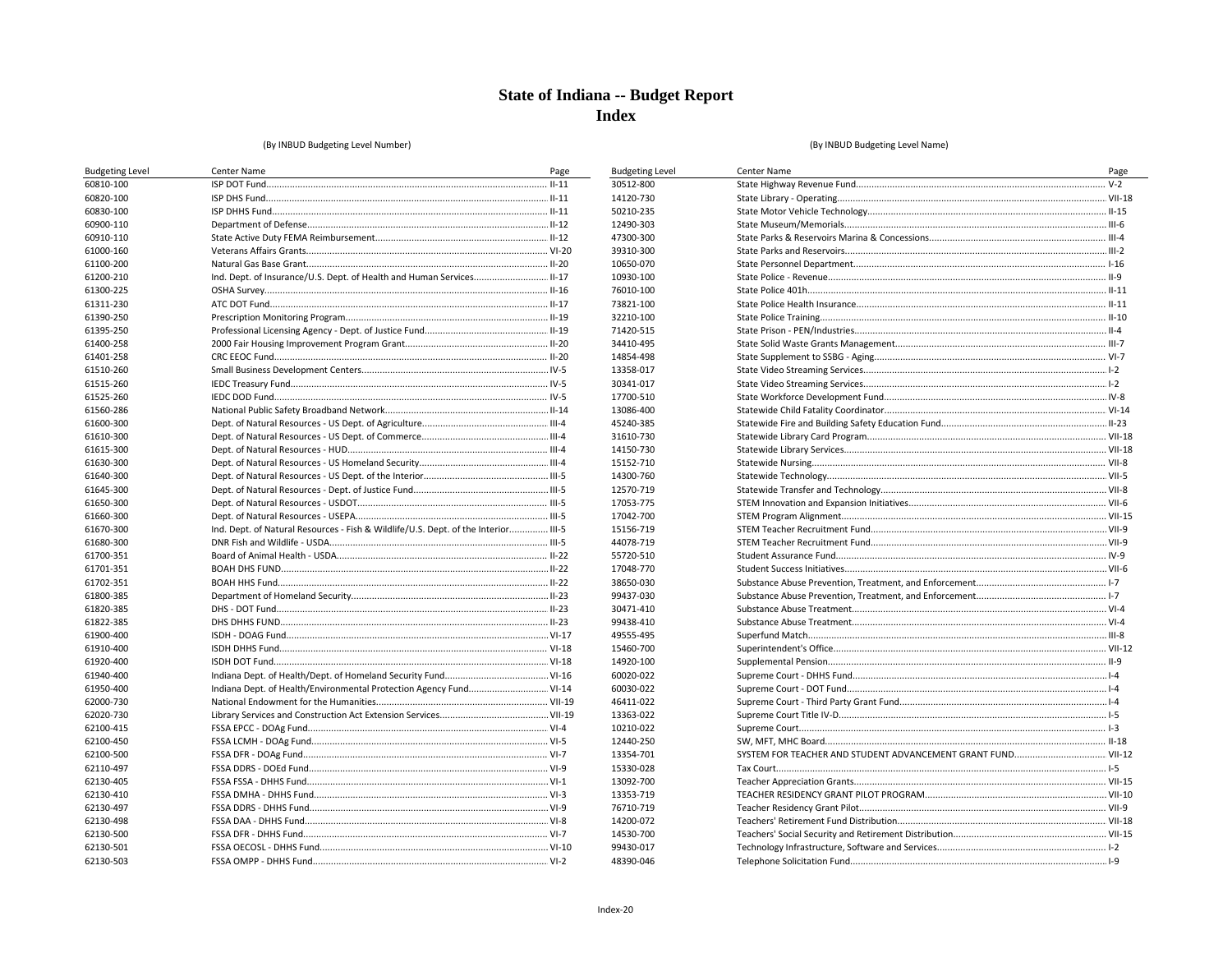**Budgeting Level** 30512-800 14120-730

50210-235 12490-303 47300-300 39310-300 10650-070 10930-100 76010-100 73821-100 32210-100 71420-515 34410-495 14854-498 13358-017 30341-017 17700-510 13086-400 45240-385 31610-730

14150-730

15152-710 14300-760 12570-719 17053-775 17042-700

15156-719 44078-719 55720-510 17048-770 38650-030 99437-030 30471-410 99438-410 49555-495 15460-700

14920-100 60020-022 60030-022 46411-022 13363-022 10210-022 12440-250 13354-701

15330-028 13092-700

13353-719

76710-719 14200-072

14530-700

99430-017 48390-046

#### (By INBUD Budgeting Level Number)

| <b>Budgeting Level</b> | Center Name                                                                        | Page |
|------------------------|------------------------------------------------------------------------------------|------|
| 60810-100              |                                                                                    |      |
| 60820-100              |                                                                                    |      |
| 60830-100              |                                                                                    |      |
| 60900-110              |                                                                                    |      |
| 60910-110              |                                                                                    |      |
| 61000-160              |                                                                                    |      |
| 61100-200              |                                                                                    |      |
| 61200-210              | Ind. Dept. of Insurance/U.S. Dept. of Health and Human Services II-17              |      |
| 61300-225              |                                                                                    |      |
| 61311-230              |                                                                                    |      |
| 61390-250              |                                                                                    |      |
| 61395-250              |                                                                                    |      |
| 61400-258              |                                                                                    |      |
| 61401-258              |                                                                                    |      |
| 61510-260              |                                                                                    |      |
| 61515-260              |                                                                                    |      |
| 61525-260              |                                                                                    |      |
| 61560-286              |                                                                                    |      |
| 61600-300              |                                                                                    |      |
| 61610-300              |                                                                                    |      |
| 61615-300              |                                                                                    |      |
| 61630-300              |                                                                                    |      |
| 61640-300              |                                                                                    |      |
| 61645-300              |                                                                                    |      |
| 61650-300              |                                                                                    |      |
| 61660-300              |                                                                                    |      |
| 61670-300              | Ind. Dept. of Natural Resources - Fish & Wildlife/U.S. Dept. of the Interior III-5 |      |
| 61680-300              |                                                                                    |      |
| 61700-351              |                                                                                    |      |
| 61701-351              |                                                                                    |      |
| 61702-351              |                                                                                    |      |
| 61800-385              |                                                                                    |      |
| 61820-385              |                                                                                    |      |
| 61822-385              |                                                                                    |      |
| 61900-400              |                                                                                    |      |
| 61910-400              |                                                                                    |      |
| 61920-400              |                                                                                    |      |
| 61940-400              |                                                                                    |      |
| 61950-400              | Indiana Dept. of Health/Environmental Protection Agency Fund VI-14                 |      |
| 62000-730              |                                                                                    |      |
| 62020-730              |                                                                                    |      |
| 62100-415              |                                                                                    |      |
| 62100-450              |                                                                                    |      |
| 62100-500              |                                                                                    |      |
| 62110-497              |                                                                                    |      |
| 62130-405              |                                                                                    |      |
| 62130-410              |                                                                                    |      |
| 62130-497              |                                                                                    |      |
| 62130-498              |                                                                                    |      |
| 62130-500              |                                                                                    |      |
| 62130-501              |                                                                                    |      |
| 62130-503              |                                                                                    |      |
|                        |                                                                                    |      |

| Center Name | Page |
|-------------|------|
|             |      |
|             |      |
|             |      |
|             |      |
|             |      |
|             |      |
|             |      |
|             |      |
|             |      |
|             |      |
|             |      |
|             |      |
|             |      |
|             |      |
|             |      |
|             |      |
|             |      |
|             |      |
|             |      |
|             |      |
|             |      |
|             |      |
|             |      |
|             |      |
|             |      |
|             |      |
|             |      |
|             |      |
|             |      |
|             |      |
|             |      |
|             |      |
|             |      |
|             |      |
|             |      |
|             |      |
|             |      |
|             |      |
|             |      |
|             |      |
|             |      |
|             |      |
|             |      |
|             |      |
|             |      |
|             |      |
|             |      |
|             |      |
|             |      |
|             |      |
|             |      |
|             |      |
|             |      |
|             |      |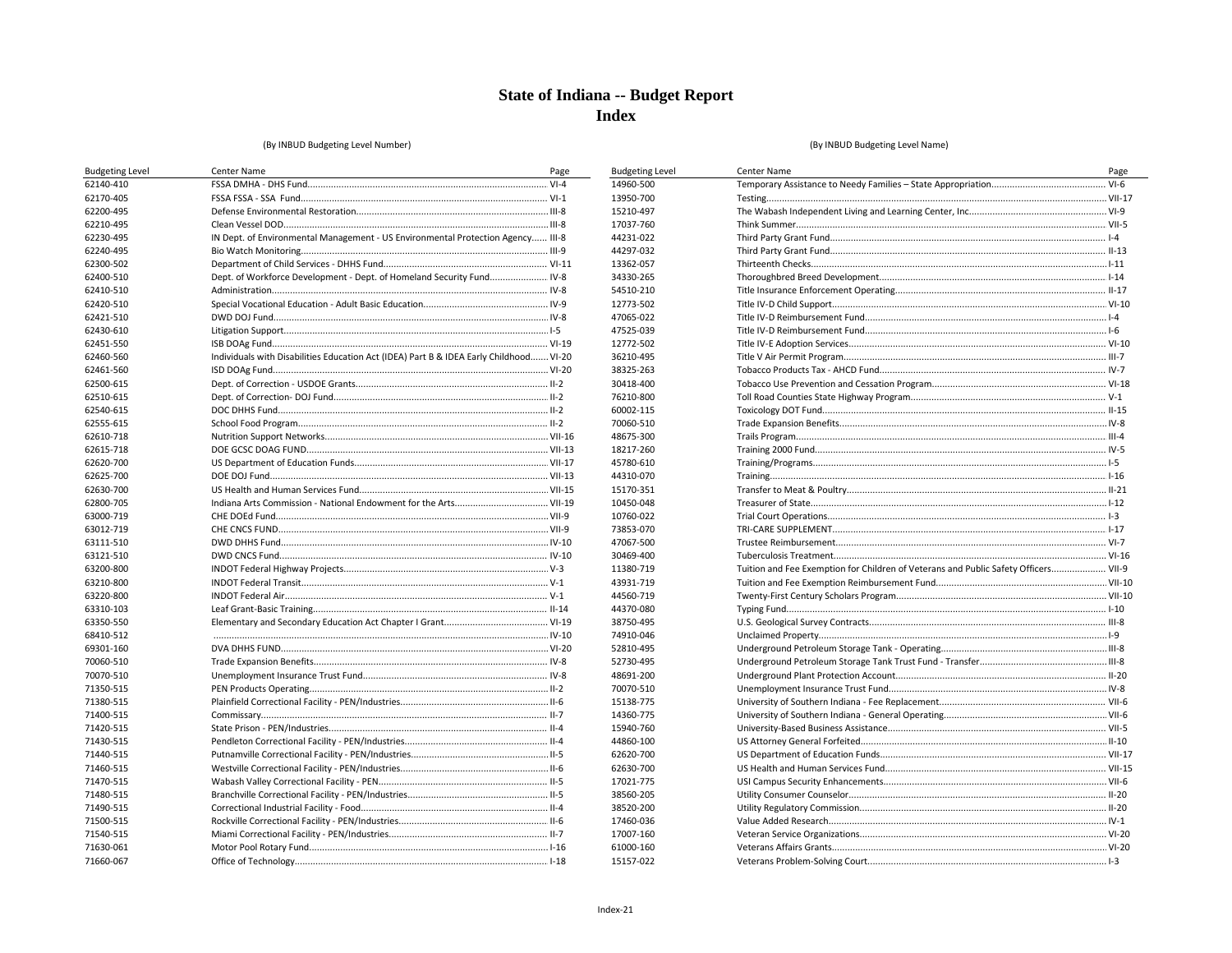**Budgeting Level** 

14960-500 13950-700

15210-497

17037-760

44231-022

44297-032

13362-057 34330-265

54510-210

12773-502

47065-022

47525-039 12772-502

36210-495

38325-263

30418-400

76210-800

60002-115 70060-510

48675-300

18217-260

45780-610

44310-070

15170-351 10450-048

10760-022

73853-070 47067-500

30469-400 11380-719

43931-719

44560-719

44370-080

38750-495

74910-046 52810-495

52730-495

48691-200 70070-510

15138-775

14360-775

15940-760 44860-100

62620-700

62630-700 17021-775

38560-205 38520-200

17460-036

17007-160

61000-160

15157-022

#### (By INBUD Budgeting Level Number)

| <b>Budgeting Level</b> | Center Name                                                                            | Page |
|------------------------|----------------------------------------------------------------------------------------|------|
| 62140-410              |                                                                                        |      |
| 62170-405              |                                                                                        |      |
| 62200-495              |                                                                                        |      |
| 62210-495              |                                                                                        |      |
| 62230-495              | IN Dept. of Environmental Management - US Environmental Protection Agency III-8        |      |
| 62240-495              |                                                                                        |      |
| 62300-502              |                                                                                        |      |
| 62400-510              | Dept. of Workforce Development - Dept. of Homeland Security Fund IV-8                  |      |
| 62410-510              |                                                                                        |      |
| 62420-510              |                                                                                        |      |
| 62421-510              |                                                                                        |      |
| 62430-610              |                                                                                        |      |
| 62451-550              |                                                                                        |      |
| 62460-560              | Individuals with Disabilities Education Act (IDEA) Part B & IDEA Early Childhood VI-20 |      |
| 62461-560              |                                                                                        |      |
| 62500-615              |                                                                                        |      |
| 62510-615              |                                                                                        |      |
| 62540-615              |                                                                                        |      |
| 62555-615              |                                                                                        |      |
| 62610-718              |                                                                                        |      |
| 62615-718              |                                                                                        |      |
| 62620-700              |                                                                                        |      |
| 62625-700              |                                                                                        |      |
| 62630-700              |                                                                                        |      |
| 62800-705              |                                                                                        |      |
| 63000-719              |                                                                                        |      |
| 63012-719              |                                                                                        |      |
| 63111-510              |                                                                                        |      |
| 63121-510              |                                                                                        |      |
| 63200-800              |                                                                                        |      |
| 63210-800              |                                                                                        |      |
| 63220-800              |                                                                                        |      |
| 63310-103              |                                                                                        |      |
| 63350-550              |                                                                                        |      |
| 68410-512              |                                                                                        |      |
| 69301-160              |                                                                                        |      |
| 70060-510              |                                                                                        |      |
| 70070-510              |                                                                                        |      |
| 71350-515              |                                                                                        |      |
| 71380-515              |                                                                                        |      |
| 71400-515              |                                                                                        |      |
| 71420-515              |                                                                                        |      |
| 71430-515              |                                                                                        |      |
| 71440-515              |                                                                                        |      |
| 71460-515              |                                                                                        |      |
| 71470-515              |                                                                                        |      |
| 71480-515              |                                                                                        |      |
| 71490-515              |                                                                                        |      |
| 71500-515              |                                                                                        |      |
| 71540-515              |                                                                                        |      |
| 71630-061              |                                                                                        |      |
| 71660-067              |                                                                                        |      |
|                        |                                                                                        |      |

| Center Name                                                                         | Page |
|-------------------------------------------------------------------------------------|------|
|                                                                                     |      |
|                                                                                     |      |
|                                                                                     |      |
|                                                                                     |      |
|                                                                                     |      |
|                                                                                     |      |
|                                                                                     |      |
|                                                                                     |      |
|                                                                                     |      |
|                                                                                     |      |
|                                                                                     |      |
|                                                                                     |      |
|                                                                                     |      |
|                                                                                     |      |
|                                                                                     |      |
|                                                                                     |      |
|                                                                                     |      |
|                                                                                     |      |
|                                                                                     |      |
|                                                                                     |      |
|                                                                                     |      |
|                                                                                     |      |
|                                                                                     |      |
|                                                                                     |      |
|                                                                                     |      |
|                                                                                     |      |
|                                                                                     |      |
|                                                                                     |      |
|                                                                                     |      |
| Tuition and Fee Exemption for Children of Veterans and Public Safety Officers VII-9 |      |
|                                                                                     |      |
|                                                                                     |      |
|                                                                                     |      |
|                                                                                     |      |
|                                                                                     |      |
|                                                                                     |      |
|                                                                                     |      |
|                                                                                     |      |
|                                                                                     |      |
|                                                                                     |      |
|                                                                                     |      |
|                                                                                     |      |
|                                                                                     |      |
|                                                                                     |      |
|                                                                                     |      |
|                                                                                     |      |
|                                                                                     |      |
|                                                                                     |      |
|                                                                                     |      |
|                                                                                     |      |
|                                                                                     |      |
|                                                                                     |      |
|                                                                                     |      |